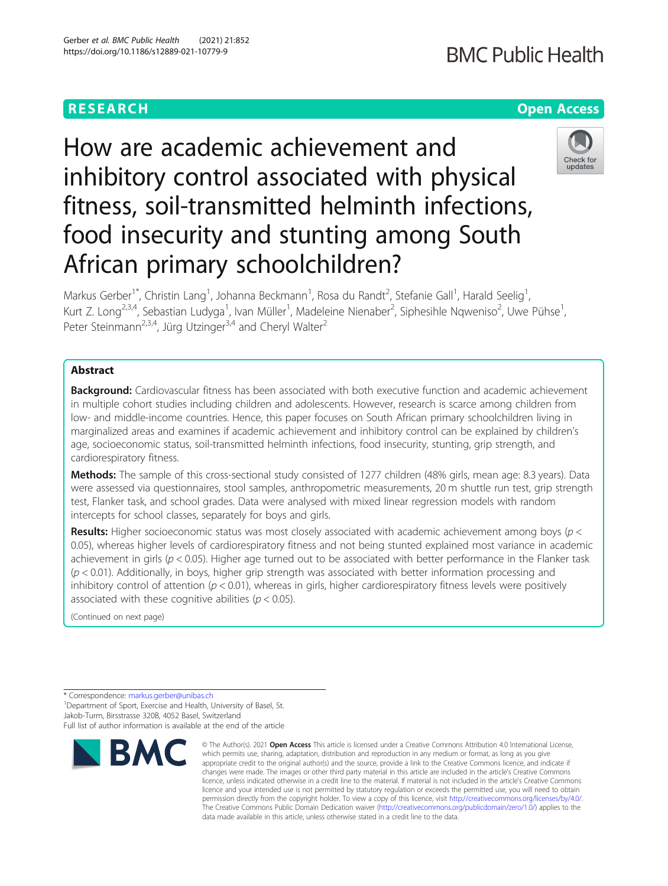## **RESEARCH CHEAR CHEAR CHEAR CHEAR CHEAR CHEAR CHEAR CHEAR CHEAR CHEAR CHEAR CHEAR CHEAR CHEAR CHEAR CHEAR CHEAR**

## **BMC Public Health**

# How are academic achievement and inhibitory control associated with physical fitness, soil-transmitted helminth infections, food insecurity and stunting among South African primary schoolchildren?



Markus Gerber<sup>1\*</sup>, Christin Lang<sup>1</sup>, Johanna Beckmann<sup>1</sup>, Rosa du Randt<sup>2</sup>, Stefanie Gall<sup>1</sup>, Harald Seelig<sup>1</sup> , Kurt Z. Long<sup>2,3,4</sup>, Sebastian Ludyga<sup>1</sup>, Ivan Müller<sup>1</sup>, Madeleine Nienaber<sup>2</sup>, Siphesihle Nqweniso<sup>2</sup>, Uwe Pühse<sup>1</sup> , Peter Steinmann<sup>2,3,4</sup>, Jürg Utzinger<sup>3,4</sup> and Cheryl Walter<sup>2</sup>

## Abstract

Background: Cardiovascular fitness has been associated with both executive function and academic achievement in multiple cohort studies including children and adolescents. However, research is scarce among children from low- and middle-income countries. Hence, this paper focuses on South African primary schoolchildren living in marginalized areas and examines if academic achievement and inhibitory control can be explained by children's age, socioeconomic status, soil-transmitted helminth infections, food insecurity, stunting, grip strength, and cardiorespiratory fitness.

Methods: The sample of this cross-sectional study consisted of 1277 children (48% girls, mean age: 8.3 years). Data were assessed via questionnaires, stool samples, anthropometric measurements, 20 m shuttle run test, grip strength test, Flanker task, and school grades. Data were analysed with mixed linear regression models with random intercepts for school classes, separately for boys and girls.

Results: Higher socioeconomic status was most closely associated with academic achievement among boys ( $p <$ 0.05), whereas higher levels of cardiorespiratory fitness and not being stunted explained most variance in academic achievement in girls ( $p < 0.05$ ). Higher age turned out to be associated with better performance in the Flanker task  $(p < 0.01)$ . Additionally, in boys, higher grip strength was associated with better information processing and inhibitory control of attention ( $p < 0.01$ ), whereas in girls, higher cardiorespiratory fitness levels were positively associated with these cognitive abilities ( $p < 0.05$ ).

(Continued on next page)

\* Correspondence: [markus.gerber@unibas.ch](mailto:markus.gerber@unibas.ch) <sup>1</sup>

<sup>1</sup> Department of Sport, Exercise and Health, University of Basel, St. Jakob-Turm, Birsstrasse 320B, 4052 Basel, Switzerland

Full list of author information is available at the end of the article



<sup>©</sup> The Author(s), 2021 **Open Access** This article is licensed under a Creative Commons Attribution 4.0 International License, which permits use, sharing, adaptation, distribution and reproduction in any medium or format, as long as you give appropriate credit to the original author(s) and the source, provide a link to the Creative Commons licence, and indicate if changes were made. The images or other third party material in this article are included in the article's Creative Commons licence, unless indicated otherwise in a credit line to the material. If material is not included in the article's Creative Commons licence and your intended use is not permitted by statutory regulation or exceeds the permitted use, you will need to obtain permission directly from the copyright holder. To view a copy of this licence, visit [http://creativecommons.org/licenses/by/4.0/.](http://creativecommons.org/licenses/by/4.0/) The Creative Commons Public Domain Dedication waiver [\(http://creativecommons.org/publicdomain/zero/1.0/](http://creativecommons.org/publicdomain/zero/1.0/)) applies to the data made available in this article, unless otherwise stated in a credit line to the data.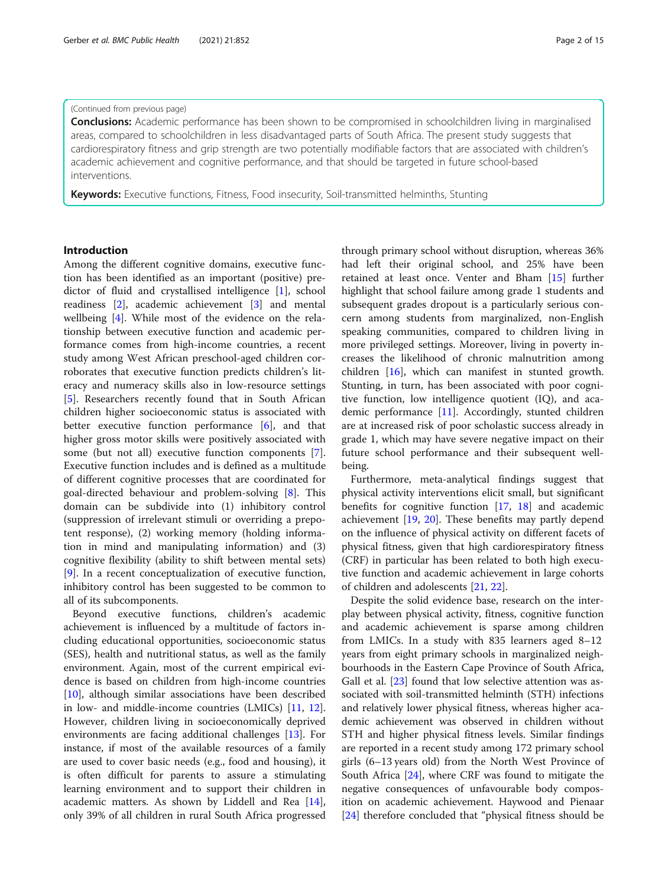## (Continued from previous page)

**Conclusions:** Academic performance has been shown to be compromised in schoolchildren living in marginalised areas, compared to schoolchildren in less disadvantaged parts of South Africa. The present study suggests that cardiorespiratory fitness and grip strength are two potentially modifiable factors that are associated with children's academic achievement and cognitive performance, and that should be targeted in future school-based interventions.

Keywords: Executive functions, Fitness, Food insecurity, Soil-transmitted helminths, Stunting

## Introduction

Among the different cognitive domains, executive function has been identified as an important (positive) predictor of fluid and crystallised intelligence [[1\]](#page-12-0), school readiness [\[2\]](#page-12-0), academic achievement [\[3](#page-12-0)] and mental wellbeing [[4\]](#page-12-0). While most of the evidence on the relationship between executive function and academic performance comes from high-income countries, a recent study among West African preschool-aged children corroborates that executive function predicts children's literacy and numeracy skills also in low-resource settings [[5\]](#page-12-0). Researchers recently found that in South African children higher socioeconomic status is associated with better executive function performance [\[6](#page-12-0)], and that higher gross motor skills were positively associated with some (but not all) executive function components [\[7](#page-12-0)]. Executive function includes and is defined as a multitude of different cognitive processes that are coordinated for goal-directed behaviour and problem-solving [[8\]](#page-12-0). This domain can be subdivide into (1) inhibitory control (suppression of irrelevant stimuli or overriding a prepotent response), (2) working memory (holding information in mind and manipulating information) and (3) cognitive flexibility (ability to shift between mental sets) [[9\]](#page-12-0). In a recent conceptualization of executive function, inhibitory control has been suggested to be common to all of its subcomponents.

Beyond executive functions, children's academic achievement is influenced by a multitude of factors including educational opportunities, socioeconomic status (SES), health and nutritional status, as well as the family environment. Again, most of the current empirical evidence is based on children from high-income countries [[10\]](#page-12-0), although similar associations have been described in low- and middle-income countries (LMICs) [\[11](#page-12-0), [12](#page-12-0)]. However, children living in socioeconomically deprived environments are facing additional challenges [\[13\]](#page-12-0). For instance, if most of the available resources of a family are used to cover basic needs (e.g., food and housing), it is often difficult for parents to assure a stimulating learning environment and to support their children in academic matters. As shown by Liddell and Rea [\[14](#page-12-0)], only 39% of all children in rural South Africa progressed through primary school without disruption, whereas 36% had left their original school, and 25% have been retained at least once. Venter and Bham [[15\]](#page-12-0) further highlight that school failure among grade 1 students and subsequent grades dropout is a particularly serious concern among students from marginalized, non-English speaking communities, compared to children living in more privileged settings. Moreover, living in poverty increases the likelihood of chronic malnutrition among children [[16\]](#page-12-0), which can manifest in stunted growth. Stunting, in turn, has been associated with poor cognitive function, low intelligence quotient (IQ), and academic performance [[11\]](#page-12-0). Accordingly, stunted children are at increased risk of poor scholastic success already in grade 1, which may have severe negative impact on their future school performance and their subsequent wellbeing.

Furthermore, meta-analytical findings suggest that physical activity interventions elicit small, but significant benefits for cognitive function [\[17](#page-12-0), [18](#page-12-0)] and academic achievement [[19,](#page-12-0) [20](#page-12-0)]. These benefits may partly depend on the influence of physical activity on different facets of physical fitness, given that high cardiorespiratory fitness (CRF) in particular has been related to both high executive function and academic achievement in large cohorts of children and adolescents [[21,](#page-12-0) [22\]](#page-12-0).

Despite the solid evidence base, research on the interplay between physical activity, fitness, cognitive function and academic achievement is sparse among children from LMICs. In a study with 835 learners aged 8–12 years from eight primary schools in marginalized neighbourhoods in the Eastern Cape Province of South Africa, Gall et al. [[23\]](#page-12-0) found that low selective attention was associated with soil-transmitted helminth (STH) infections and relatively lower physical fitness, whereas higher academic achievement was observed in children without STH and higher physical fitness levels. Similar findings are reported in a recent study among 172 primary school girls (6–13 years old) from the North West Province of South Africa [[24](#page-12-0)], where CRF was found to mitigate the negative consequences of unfavourable body composition on academic achievement. Haywood and Pienaar [[24\]](#page-12-0) therefore concluded that "physical fitness should be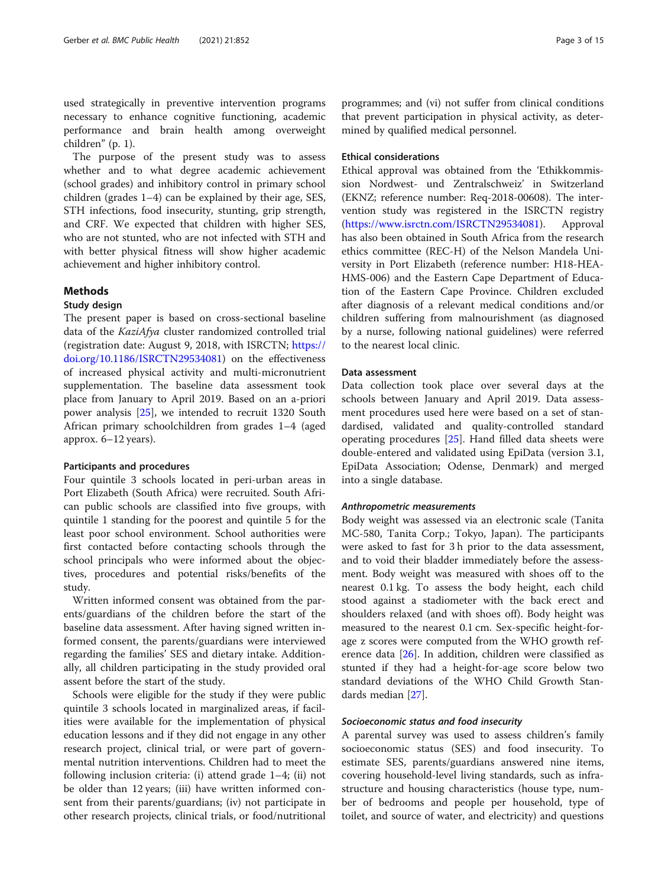used strategically in preventive intervention programs necessary to enhance cognitive functioning, academic performance and brain health among overweight children" (p. 1).

The purpose of the present study was to assess whether and to what degree academic achievement (school grades) and inhibitory control in primary school children (grades 1–4) can be explained by their age, SES, STH infections, food insecurity, stunting, grip strength, and CRF. We expected that children with higher SES, who are not stunted, who are not infected with STH and with better physical fitness will show higher academic achievement and higher inhibitory control.

## Methods

## Study design

The present paper is based on cross-sectional baseline data of the KaziAfya cluster randomized controlled trial (registration date: August 9, 2018, with ISRCTN; [https://](https://www.isrctn.com/ISRCTN29534081) [doi.org/10.1186/ISRCTN29534081](https://www.isrctn.com/ISRCTN29534081)) on the effectiveness of increased physical activity and multi-micronutrient supplementation. The baseline data assessment took place from January to April 2019. Based on an a-priori power analysis [[25](#page-12-0)], we intended to recruit 1320 South African primary schoolchildren from grades 1–4 (aged approx. 6–12 years).

## Participants and procedures

Four quintile 3 schools located in peri-urban areas in Port Elizabeth (South Africa) were recruited. South African public schools are classified into five groups, with quintile 1 standing for the poorest and quintile 5 for the least poor school environment. School authorities were first contacted before contacting schools through the school principals who were informed about the objectives, procedures and potential risks/benefits of the study.

Written informed consent was obtained from the parents/guardians of the children before the start of the baseline data assessment. After having signed written informed consent, the parents/guardians were interviewed regarding the families' SES and dietary intake. Additionally, all children participating in the study provided oral assent before the start of the study.

Schools were eligible for the study if they were public quintile 3 schools located in marginalized areas, if facilities were available for the implementation of physical education lessons and if they did not engage in any other research project, clinical trial, or were part of governmental nutrition interventions. Children had to meet the following inclusion criteria: (i) attend grade 1–4; (ii) not be older than 12 years; (iii) have written informed consent from their parents/guardians; (iv) not participate in other research projects, clinical trials, or food/nutritional programmes; and (vi) not suffer from clinical conditions that prevent participation in physical activity, as determined by qualified medical personnel.

## Ethical considerations

Ethical approval was obtained from the 'Ethikkommission Nordwest- und Zentralschweiz' in Switzerland (EKNZ; reference number: Req-2018-00608). The intervention study was registered in the ISRCTN registry (<https://www.isrctn.com/ISRCTN29534081>). Approval has also been obtained in South Africa from the research ethics committee (REC-H) of the Nelson Mandela University in Port Elizabeth (reference number: H18-HEA-HMS-006) and the Eastern Cape Department of Education of the Eastern Cape Province. Children excluded after diagnosis of a relevant medical conditions and/or children suffering from malnourishment (as diagnosed by a nurse, following national guidelines) were referred to the nearest local clinic.

## Data assessment

Data collection took place over several days at the schools between January and April 2019. Data assessment procedures used here were based on a set of standardised, validated and quality-controlled standard operating procedures [[25](#page-12-0)]. Hand filled data sheets were double-entered and validated using EpiData (version 3.1, EpiData Association; Odense, Denmark) and merged into a single database.

## Anthropometric measurements

Body weight was assessed via an electronic scale (Tanita MC-580, Tanita Corp.; Tokyo, Japan). The participants were asked to fast for 3 h prior to the data assessment, and to void their bladder immediately before the assessment. Body weight was measured with shoes off to the nearest 0.1 kg. To assess the body height, each child stood against a stadiometer with the back erect and shoulders relaxed (and with shoes off). Body height was measured to the nearest 0.1 cm. Sex-specific height-forage z scores were computed from the WHO growth reference data [\[26](#page-12-0)]. In addition, children were classified as stunted if they had a height-for-age score below two standard deviations of the WHO Child Growth Standards median [\[27](#page-12-0)].

## Socioeconomic status and food insecurity

A parental survey was used to assess children's family socioeconomic status (SES) and food insecurity. To estimate SES, parents/guardians answered nine items, covering household-level living standards, such as infrastructure and housing characteristics (house type, number of bedrooms and people per household, type of toilet, and source of water, and electricity) and questions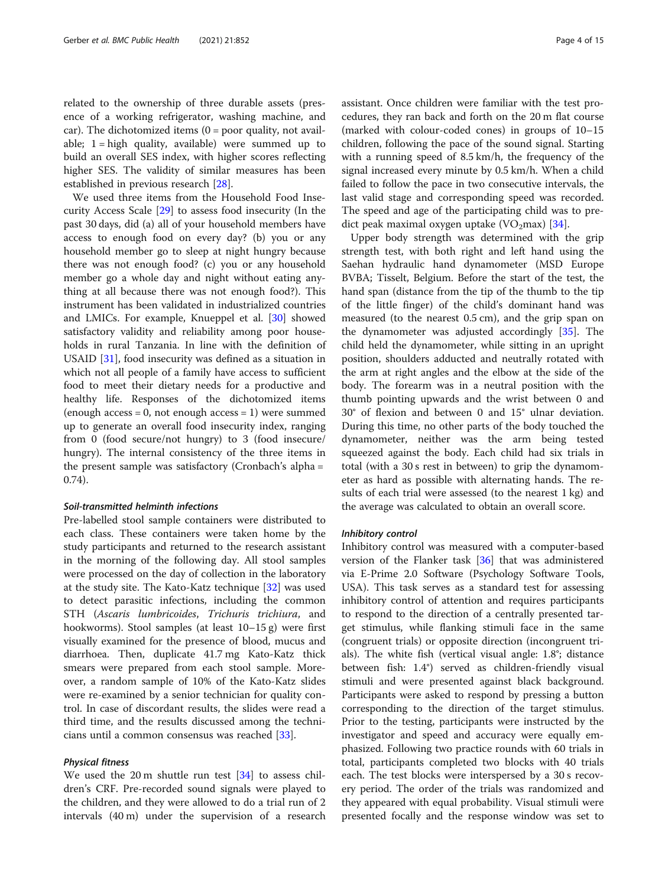related to the ownership of three durable assets (presence of a working refrigerator, washing machine, and car). The dichotomized items  $(0 = poor$  quality, not available;  $1 =$ high quality, available) were summed up to build an overall SES index, with higher scores reflecting higher SES. The validity of similar measures has been established in previous research [[28\]](#page-12-0).

We used three items from the Household Food Insecurity Access Scale [\[29\]](#page-12-0) to assess food insecurity (In the past 30 days, did (a) all of your household members have access to enough food on every day? (b) you or any household member go to sleep at night hungry because there was not enough food? (c) you or any household member go a whole day and night without eating anything at all because there was not enough food?). This instrument has been validated in industrialized countries and LMICs. For example, Knueppel et al. [\[30](#page-12-0)] showed satisfactory validity and reliability among poor households in rural Tanzania. In line with the definition of USAID [\[31](#page-12-0)], food insecurity was defined as a situation in which not all people of a family have access to sufficient food to meet their dietary needs for a productive and healthy life. Responses of the dichotomized items (enough access  $= 0$ , not enough access  $= 1$ ) were summed up to generate an overall food insecurity index, ranging from 0 (food secure/not hungry) to 3 (food insecure/ hungry). The internal consistency of the three items in the present sample was satisfactory (Cronbach's alpha = 0.74).

## Soil-transmitted helminth infections

Pre-labelled stool sample containers were distributed to each class. These containers were taken home by the study participants and returned to the research assistant in the morning of the following day. All stool samples were processed on the day of collection in the laboratory at the study site. The Kato-Katz technique [[32](#page-12-0)] was used to detect parasitic infections, including the common STH (Ascaris lumbricoides, Trichuris trichiura, and hookworms). Stool samples (at least 10–15 g) were first visually examined for the presence of blood, mucus and diarrhoea. Then, duplicate 41.7 mg Kato-Katz thick smears were prepared from each stool sample. Moreover, a random sample of 10% of the Kato-Katz slides were re-examined by a senior technician for quality control. In case of discordant results, the slides were read a third time, and the results discussed among the technicians until a common consensus was reached [\[33\]](#page-12-0).

## Physical fitness

We used the 20 m shuttle run test [[34](#page-12-0)] to assess children's CRF. Pre-recorded sound signals were played to the children, and they were allowed to do a trial run of 2 intervals (40 m) under the supervision of a research assistant. Once children were familiar with the test procedures, they ran back and forth on the 20 m flat course (marked with colour-coded cones) in groups of 10–15 children, following the pace of the sound signal. Starting with a running speed of 8.5 km/h, the frequency of the signal increased every minute by 0.5 km/h. When a child failed to follow the pace in two consecutive intervals, the last valid stage and corresponding speed was recorded. The speed and age of the participating child was to pre-dict peak maximal oxygen uptake (VO<sub>2</sub>max) [[34\]](#page-12-0).

Upper body strength was determined with the grip strength test, with both right and left hand using the Saehan hydraulic hand dynamometer (MSD Europe BVBA; Tisselt, Belgium. Before the start of the test, the hand span (distance from the tip of the thumb to the tip of the little finger) of the child's dominant hand was measured (to the nearest 0.5 cm), and the grip span on the dynamometer was adjusted accordingly [[35](#page-12-0)]. The child held the dynamometer, while sitting in an upright position, shoulders adducted and neutrally rotated with the arm at right angles and the elbow at the side of the body. The forearm was in a neutral position with the thumb pointing upwards and the wrist between 0 and 30° of flexion and between 0 and 15° ulnar deviation. During this time, no other parts of the body touched the dynamometer, neither was the arm being tested squeezed against the body. Each child had six trials in total (with a 30 s rest in between) to grip the dynamometer as hard as possible with alternating hands. The results of each trial were assessed (to the nearest 1 kg) and the average was calculated to obtain an overall score.

### Inhibitory control

Inhibitory control was measured with a computer-based version of the Flanker task [[36\]](#page-12-0) that was administered via E-Prime 2.0 Software (Psychology Software Tools, USA). This task serves as a standard test for assessing inhibitory control of attention and requires participants to respond to the direction of a centrally presented target stimulus, while flanking stimuli face in the same (congruent trials) or opposite direction (incongruent trials). The white fish (vertical visual angle: 1.8°; distance between fish: 1.4°) served as children-friendly visual stimuli and were presented against black background. Participants were asked to respond by pressing a button corresponding to the direction of the target stimulus. Prior to the testing, participants were instructed by the investigator and speed and accuracy were equally emphasized. Following two practice rounds with 60 trials in total, participants completed two blocks with 40 trials each. The test blocks were interspersed by a 30 s recovery period. The order of the trials was randomized and they appeared with equal probability. Visual stimuli were presented focally and the response window was set to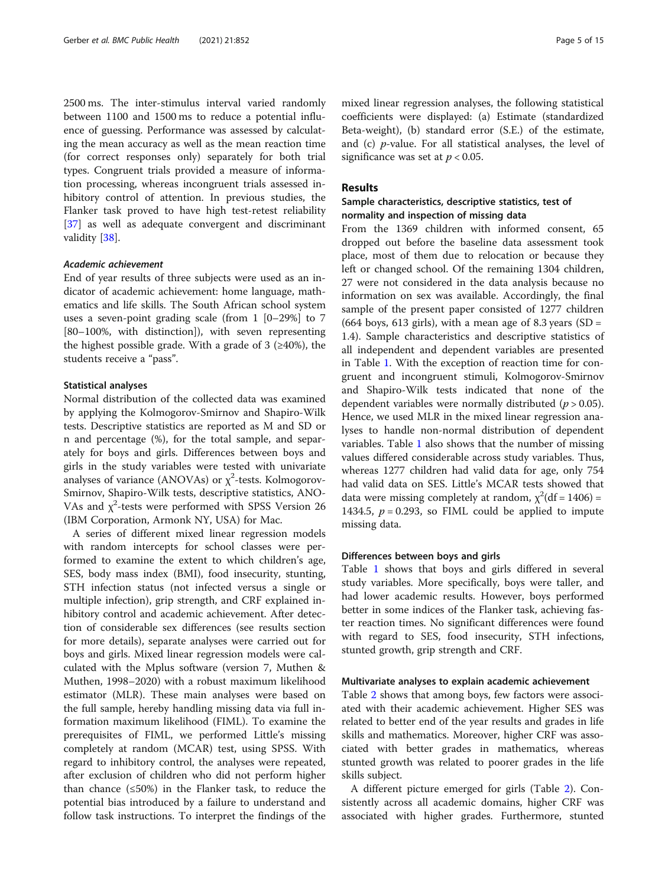2500 ms. The inter-stimulus interval varied randomly between 1100 and 1500 ms to reduce a potential influence of guessing. Performance was assessed by calculating the mean accuracy as well as the mean reaction time (for correct responses only) separately for both trial types. Congruent trials provided a measure of information processing, whereas incongruent trials assessed inhibitory control of attention. In previous studies, the Flanker task proved to have high test-retest reliability [[37\]](#page-12-0) as well as adequate convergent and discriminant validity [\[38\]](#page-12-0).

## Academic achievement

End of year results of three subjects were used as an indicator of academic achievement: home language, mathematics and life skills. The South African school system uses a seven-point grading scale (from 1 [0–29%] to 7 [80–100%, with distinction]), with seven representing the highest possible grade. With a grade of 3 ( $\geq$ 40%), the students receive a "pass".

## Statistical analyses

Normal distribution of the collected data was examined by applying the Kolmogorov-Smirnov and Shapiro-Wilk tests. Descriptive statistics are reported as M and SD or n and percentage (%), for the total sample, and separately for boys and girls. Differences between boys and girls in the study variables were tested with univariate analyses of variance (ANOVAs) or  $\chi^2$ -tests. Kolmogorov-Smirnov, Shapiro-Wilk tests, descriptive statistics, ANO-VAs and  $\chi^2$ -tests were performed with SPSS Version 26 (IBM Corporation, Armonk NY, USA) for Mac.

A series of different mixed linear regression models with random intercepts for school classes were performed to examine the extent to which children's age, SES, body mass index (BMI), food insecurity, stunting, STH infection status (not infected versus a single or multiple infection), grip strength, and CRF explained inhibitory control and academic achievement. After detection of considerable sex differences (see results section for more details), separate analyses were carried out for boys and girls. Mixed linear regression models were calculated with the Mplus software (version 7, Muthen & Muthen, 1998–2020) with a robust maximum likelihood estimator (MLR). These main analyses were based on the full sample, hereby handling missing data via full information maximum likelihood (FIML). To examine the prerequisites of FIML, we performed Little's missing completely at random (MCAR) test, using SPSS. With regard to inhibitory control, the analyses were repeated, after exclusion of children who did not perform higher than chance  $(\leq 50\%)$  in the Flanker task, to reduce the potential bias introduced by a failure to understand and follow task instructions. To interpret the findings of the mixed linear regression analyses, the following statistical coefficients were displayed: (a) Estimate (standardized Beta-weight), (b) standard error (S.E.) of the estimate, and (c)  $p$ -value. For all statistical analyses, the level of significance was set at  $p < 0.05$ .

## Results

## Sample characteristics, descriptive statistics, test of normality and inspection of missing data

From the 1369 children with informed consent, 65 dropped out before the baseline data assessment took place, most of them due to relocation or because they left or changed school. Of the remaining 1304 children, 27 were not considered in the data analysis because no information on sex was available. Accordingly, the final sample of the present paper consisted of 1277 children (664 boys, 613 girls), with a mean age of 8.3 years (SD = 1.4). Sample characteristics and descriptive statistics of all independent and dependent variables are presented in Table [1](#page-5-0). With the exception of reaction time for congruent and incongruent stimuli, Kolmogorov-Smirnov and Shapiro-Wilk tests indicated that none of the dependent variables were normally distributed ( $p > 0.05$ ). Hence, we used MLR in the mixed linear regression analyses to handle non-normal distribution of dependent variables. Table [1](#page-5-0) also shows that the number of missing values differed considerable across study variables. Thus, whereas 1277 children had valid data for age, only 754 had valid data on SES. Little's MCAR tests showed that data were missing completely at random,  $\chi^2$ (df = 1406) = 1434.5,  $p = 0.293$ , so FIML could be applied to impute missing data.

## Differences between boys and girls

Table [1](#page-5-0) shows that boys and girls differed in several study variables. More specifically, boys were taller, and had lower academic results. However, boys performed better in some indices of the Flanker task, achieving faster reaction times. No significant differences were found with regard to SES, food insecurity, STH infections, stunted growth, grip strength and CRF.

## Multivariate analyses to explain academic achievement

Table [2](#page-6-0) shows that among boys, few factors were associated with their academic achievement. Higher SES was related to better end of the year results and grades in life skills and mathematics. Moreover, higher CRF was associated with better grades in mathematics, whereas stunted growth was related to poorer grades in the life skills subject.

A different picture emerged for girls (Table [2](#page-6-0)). Consistently across all academic domains, higher CRF was associated with higher grades. Furthermore, stunted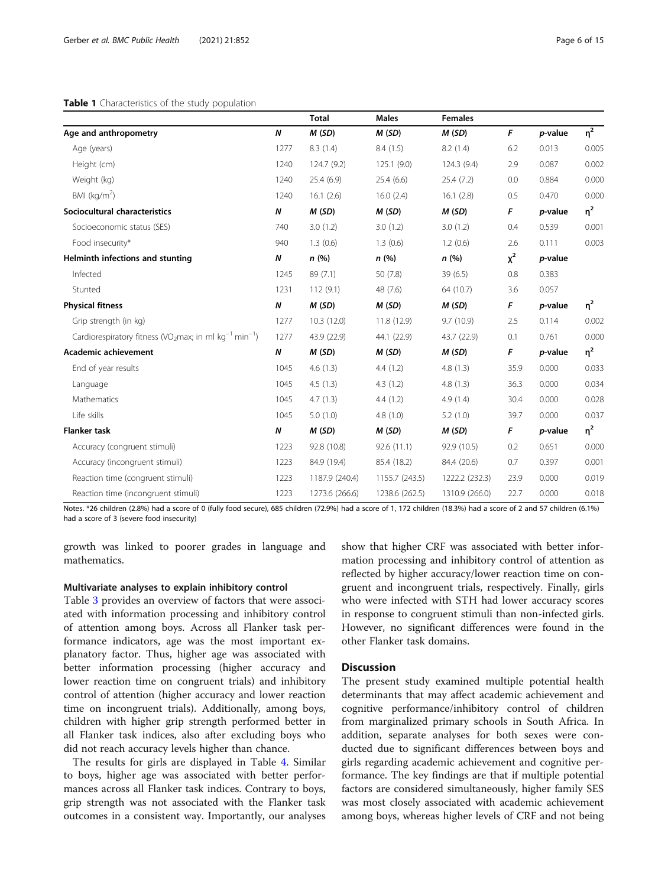## <span id="page-5-0"></span>Table 1 Characteristics of the study population

|                                                                                            |      | <b>Total</b>   | <b>Males</b>   | <b>Females</b> |       |                 |          |
|--------------------------------------------------------------------------------------------|------|----------------|----------------|----------------|-------|-----------------|----------|
| Age and anthropometry                                                                      | N    | M(SD)          | M(SD)          | M(SD)          | F     | p-value         | $\eta^2$ |
| Age (years)                                                                                | 1277 | 8.3(1.4)       | 8.4(1.5)       | 8.2(1.4)       | 6.2   | 0.013           | 0.005    |
| Height (cm)                                                                                | 1240 | 124.7 (9.2)    | 125.1(9.0)     | 124.3(9.4)     | 2.9   | 0.087           | 0.002    |
| Weight (kg)                                                                                | 1240 | 25.4(6.9)      | 25.4(6.6)      | 25.4(7.2)      | 0.0   | 0.884           | 0.000    |
| BMI ( $kg/m2$ )                                                                            | 1240 | 16.1(2.6)      | 16.0(2.4)      | 16.1(2.8)      | 0.5   | 0.470           | 0.000    |
| Sociocultural characteristics                                                              | Ν    | M(SD)          | M(SD)          | M(SD)          | F     | <i>p</i> -value | $\eta^2$ |
| Socioeconomic status (SES)                                                                 | 740  | 3.0(1.2)       | 3.0(1.2)       | 3.0(1.2)       | 0.4   | 0.539           | 0.001    |
| Food insecurity*                                                                           | 940  | 1.3(0.6)       | 1.3(0.6)       | 1.2(0.6)       | 2.6   | 0.111           | 0.003    |
| Helminth infections and stunting                                                           | N    | n(%)           | n(%)           | n(%)           | $x^2$ | p-value         |          |
| Infected                                                                                   | 1245 | 89 (7.1)       | 50(7.8)        | 39(6.5)        | 0.8   | 0.383           |          |
| Stunted                                                                                    | 1231 | 112(9.1)       | 48 (7.6)       | 64 (10.7)      | 3.6   | 0.057           |          |
| <b>Physical fitness</b>                                                                    | N    | M(SD)          | M(SD)          | M(SD)          | F     | p-value         | $\eta^2$ |
| Grip strength (in kg)                                                                      | 1277 | 10.3(12.0)     | 11.8(12.9)     | 9.7(10.9)      | 2.5   | 0.114           | 0.002    |
| Cardiorespiratory fitness (VO <sub>2</sub> max; in ml kg <sup>-1</sup> min <sup>-1</sup> ) | 1277 | 43.9 (22.9)    | 44.1 (22.9)    | 43.7 (22.9)    | 0.1   | 0.761           | 0.000    |
| Academic achievement                                                                       | Ν    | M(SD)          | M(SD)          | M(SD)          | F     | p-value         | $\eta^2$ |
| End of year results                                                                        | 1045 | 4.6(1.3)       | 4.4(1.2)       | 4.8(1.3)       | 35.9  | 0.000           | 0.033    |
| Language                                                                                   | 1045 | 4.5(1.3)       | 4.3(1.2)       | 4.8(1.3)       | 36.3  | 0.000           | 0.034    |
| Mathematics                                                                                | 1045 | 4.7(1.3)       | 4.4(1.2)       | 4.9(1.4)       | 30.4  | 0.000           | 0.028    |
| Life skills                                                                                | 1045 | 5.0(1.0)       | 4.8(1.0)       | 5.2(1.0)       | 39.7  | 0.000           | 0.037    |
| <b>Flanker task</b>                                                                        | N    | M(SD)          | M(SD)          | M(SD)          | F     | p-value         | $\eta^2$ |
| Accuracy (congruent stimuli)                                                               | 1223 | 92.8 (10.8)    | 92.6(11.1)     | 92.9 (10.5)    | 0.2   | 0.651           | 0.000    |
| Accuracy (incongruent stimuli)                                                             | 1223 | 84.9 (19.4)    | 85.4 (18.2)    | 84.4 (20.6)    | 0.7   | 0.397           | 0.001    |
| Reaction time (congruent stimuli)                                                          | 1223 | 1187.9 (240.4) | 1155.7 (243.5) | 1222.2 (232.3) | 23.9  | 0.000           | 0.019    |
| Reaction time (incongruent stimuli)                                                        | 1223 | 1273.6 (266.6) | 1238.6 (262.5) | 1310.9 (266.0) | 22.7  | 0.000           | 0.018    |

Notes. \*26 children (2.8%) had a score of 0 (fully food secure), 685 children (72.9%) had a score of 1, 172 children (18.3%) had a score of 2 and 57 children (6.1%) had a score of 3 (severe food insecurity)

growth was linked to poorer grades in language and mathematics.

## Multivariate analyses to explain inhibitory control

Table [3](#page-7-0) provides an overview of factors that were associated with information processing and inhibitory control of attention among boys. Across all Flanker task performance indicators, age was the most important explanatory factor. Thus, higher age was associated with better information processing (higher accuracy and lower reaction time on congruent trials) and inhibitory control of attention (higher accuracy and lower reaction time on incongruent trials). Additionally, among boys, children with higher grip strength performed better in all Flanker task indices, also after excluding boys who did not reach accuracy levels higher than chance.

The results for girls are displayed in Table [4](#page-8-0). Similar to boys, higher age was associated with better performances across all Flanker task indices. Contrary to boys, grip strength was not associated with the Flanker task outcomes in a consistent way. Importantly, our analyses

show that higher CRF was associated with better information processing and inhibitory control of attention as reflected by higher accuracy/lower reaction time on congruent and incongruent trials, respectively. Finally, girls who were infected with STH had lower accuracy scores in response to congruent stimuli than non-infected girls. However, no significant differences were found in the other Flanker task domains.

## **Discussion**

The present study examined multiple potential health determinants that may affect academic achievement and cognitive performance/inhibitory control of children from marginalized primary schools in South Africa. In addition, separate analyses for both sexes were conducted due to significant differences between boys and girls regarding academic achievement and cognitive performance. The key findings are that if multiple potential factors are considered simultaneously, higher family SES was most closely associated with academic achievement among boys, whereas higher levels of CRF and not being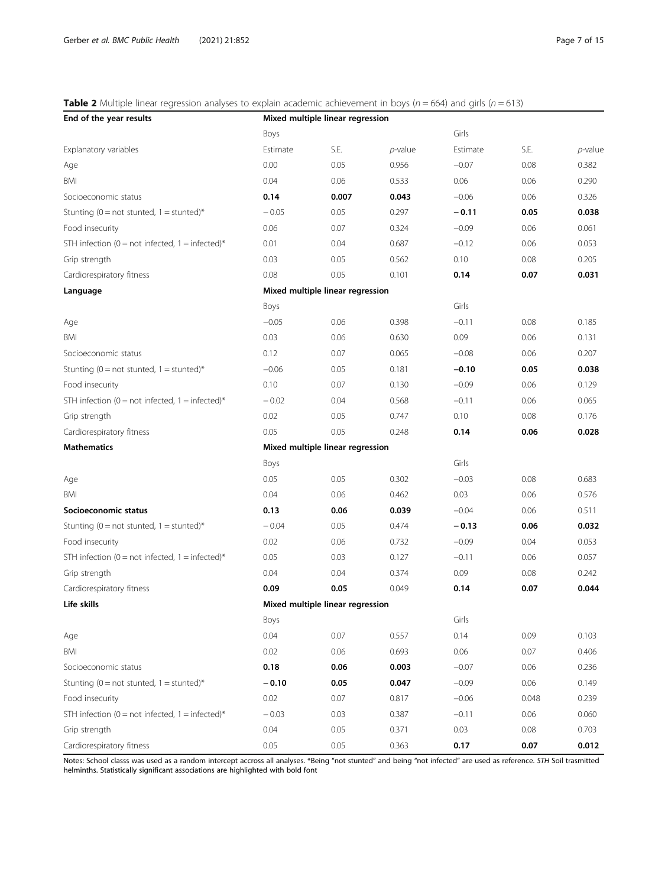## <span id="page-6-0"></span>**Table 2** Multiple linear regression analyses to explain academic achievement in boys ( $n = 664$ ) and girls ( $n = 613$ )

| End of the year results                               | Mixed multiple linear regression |       |            |          |       |            |  |  |
|-------------------------------------------------------|----------------------------------|-------|------------|----------|-------|------------|--|--|
|                                                       | Boys                             |       |            | Girls    |       |            |  |  |
| Explanatory variables                                 | Estimate                         | S.E.  | $p$ -value | Estimate | S.E.  | $p$ -value |  |  |
| Age                                                   | 0.00                             | 0.05  | 0.956      | $-0.07$  | 0.08  | 0.382      |  |  |
| BMI                                                   | 0.04                             | 0.06  | 0.533      | 0.06     | 0.06  | 0.290      |  |  |
| Socioeconomic status                                  | 0.14                             | 0.007 | 0.043      | $-0.06$  | 0.06  | 0.326      |  |  |
| Stunting ( $0 = not$ stunted, $1 =$ stunted)*         | $-0.05$                          | 0.05  | 0.297      | $-0.11$  | 0.05  | 0.038      |  |  |
| Food insecurity                                       | 0.06                             | 0.07  | 0.324      | $-0.09$  | 0.06  | 0.061      |  |  |
| STH infection ( $0 = not$ infected, $1 =$ infected)*  | 0.01                             | 0.04  | 0.687      | $-0.12$  | 0.06  | 0.053      |  |  |
| Grip strength                                         | 0.03                             | 0.05  | 0.562      | 0.10     | 0.08  | 0.205      |  |  |
| Cardiorespiratory fitness                             | 0.08                             | 0.05  | 0.101      | 0.14     | 0.07  | 0.031      |  |  |
| Language                                              | Mixed multiple linear regression |       |            |          |       |            |  |  |
|                                                       | Boys                             |       |            | Girls    |       |            |  |  |
| Age                                                   | $-0.05$                          | 0.06  | 0.398      | $-0.11$  | 0.08  | 0.185      |  |  |
| BMI                                                   | 0.03                             | 0.06  | 0.630      | 0.09     | 0.06  | 0.131      |  |  |
| Socioeconomic status                                  | 0.12                             | 0.07  | 0.065      | $-0.08$  | 0.06  | 0.207      |  |  |
| Stunting ( $0 = not$ stunted, $1 =$ stunted)*         | $-0.06$                          | 0.05  | 0.181      | $-0.10$  | 0.05  | 0.038      |  |  |
| Food insecurity                                       | 0.10                             | 0.07  | 0.130      | $-0.09$  | 0.06  | 0.129      |  |  |
| STH infection ( $0 = not$ infected, $1 = infected$ )* | $-0.02$                          | 0.04  | 0.568      | $-0.11$  | 0.06  | 0.065      |  |  |
| Grip strength                                         | 0.02                             | 0.05  | 0.747      | 0.10     | 0.08  | 0.176      |  |  |
| Cardiorespiratory fitness                             | 0.05                             | 0.05  | 0.248      | 0.14     | 0.06  | 0.028      |  |  |
| <b>Mathematics</b>                                    | Mixed multiple linear regression |       |            |          |       |            |  |  |
|                                                       | Boys                             |       |            | Girls    |       |            |  |  |
| Age                                                   | 0.05                             | 0.05  | 0.302      | $-0.03$  | 0.08  | 0.683      |  |  |
| <b>BMI</b>                                            | 0.04                             | 0.06  | 0.462      | 0.03     | 0.06  | 0.576      |  |  |
| Socioeconomic status                                  | 0.13                             | 0.06  | 0.039      | $-0.04$  | 0.06  | 0.511      |  |  |
| Stunting ( $0 = not$ stunted, $1 =$ stunted)*         | $-0.04$                          | 0.05  | 0.474      | $-0.13$  | 0.06  | 0.032      |  |  |
| Food insecurity                                       | 0.02                             | 0.06  | 0.732      | $-0.09$  | 0.04  | 0.053      |  |  |
| STH infection ( $0 = not$ infected, $1 = infected$ )* | 0.05                             | 0.03  | 0.127      | $-0.11$  | 0.06  | 0.057      |  |  |
| Grip strength                                         | 0.04                             | 0.04  | 0.374      | 0.09     | 0.08  | 0.242      |  |  |
| Cardiorespiratory fitness                             | 0.09                             | 0.05  | 0.049      | 0.14     | 0.07  | 0.044      |  |  |
| Life skills                                           | Mixed multiple linear regression |       |            |          |       |            |  |  |
|                                                       | Boys                             |       |            | Girls    |       |            |  |  |
| Age                                                   | 0.04                             | 0.07  | 0.557      | 0.14     | 0.09  | 0.103      |  |  |
| BMI                                                   | 0.02                             | 0.06  | 0.693      | 0.06     | 0.07  | 0.406      |  |  |
| Socioeconomic status                                  | 0.18                             | 0.06  | 0.003      | $-0.07$  | 0.06  | 0.236      |  |  |
| Stunting ( $0 = not$ stunted, $1 =$ stunted)*         | $-0.10$                          | 0.05  | 0.047      | $-0.09$  | 0.06  | 0.149      |  |  |
| Food insecurity                                       | 0.02                             | 0.07  | 0.817      | $-0.06$  | 0.048 | 0.239      |  |  |
| STH infection ( $0 = not$ infected, $1 =$ infected)*  | $-0.03$                          | 0.03  | 0.387      | $-0.11$  | 0.06  | 0.060      |  |  |
| Grip strength                                         | 0.04                             | 0.05  | 0.371      | 0.03     | 0.08  | 0.703      |  |  |
| Cardiorespiratory fitness                             | 0.05                             | 0.05  | 0.363      | 0.17     | 0.07  | 0.012      |  |  |

Notes: School classs was used as a random intercept accross all analyses. \*Being "not stunted" and being "not infected" are used as reference. STH Soil trasmitted helminths. Statistically significant associations are highlighted with bold font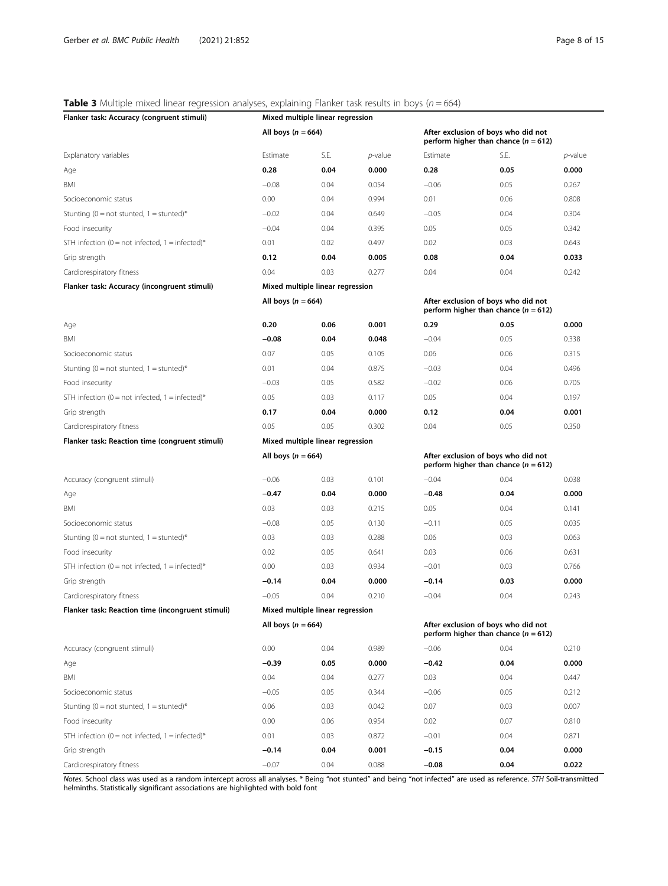## <span id="page-7-0"></span>**Table 3** Multiple mixed linear regression analyses, explaining Flanker task results in boys ( $n = 664$ )

| Flanker task: Accuracy (congruent stimuli)                             | Mixed multiple linear regression                                                                      |      |                 |                                                                               |      |         |  |  |
|------------------------------------------------------------------------|-------------------------------------------------------------------------------------------------------|------|-----------------|-------------------------------------------------------------------------------|------|---------|--|--|
|                                                                        | All boys ( $n = 664$ )                                                                                |      |                 | After exclusion of boys who did not<br>perform higher than chance $(n = 612)$ |      |         |  |  |
| Explanatory variables                                                  | Estimate                                                                                              | S.E. | <i>p</i> -value | Estimate                                                                      | S.E. | p-value |  |  |
| Age                                                                    | 0.28                                                                                                  | 0.04 | 0.000           | 0.28                                                                          | 0.05 | 0.000   |  |  |
| BMI                                                                    | $-0.08$                                                                                               | 0.04 | 0.054           | $-0.06$                                                                       | 0.05 | 0.267   |  |  |
| Socioeconomic status                                                   | 0.00                                                                                                  | 0.04 | 0.994           | 0.01                                                                          | 0.06 | 0.808   |  |  |
| Stunting ( $0 = \text{not}$ stunted, $1 = \text{stunted}$ <sup>*</sup> | $-0.02$                                                                                               | 0.04 | 0.649           | $-0.05$                                                                       | 0.04 | 0.304   |  |  |
| Food insecurity                                                        | $-0.04$                                                                                               | 0.04 | 0.395           | 0.05                                                                          | 0.05 | 0.342   |  |  |
| STH infection (0 = not infected, 1 = infected)*                        | 0.01                                                                                                  | 0.02 | 0.497           | 0.02                                                                          | 0.03 | 0.643   |  |  |
| Grip strength                                                          | 0.12                                                                                                  | 0.04 | 0.005           | 0.08                                                                          | 0.04 | 0.033   |  |  |
| Cardiorespiratory fitness                                              | 0.04                                                                                                  | 0.03 | 0.277           | 0.04                                                                          | 0.04 | 0.242   |  |  |
| Flanker task: Accuracy (incongruent stimuli)                           | Mixed multiple linear regression                                                                      |      |                 |                                                                               |      |         |  |  |
|                                                                        | All boys $(n = 664)$                                                                                  |      |                 | After exclusion of boys who did not<br>perform higher than chance $(n = 612)$ |      |         |  |  |
| Age                                                                    | 0.20                                                                                                  | 0.06 | 0.001           | 0.29                                                                          | 0.05 | 0.000   |  |  |
| BMI                                                                    | $-0.08$                                                                                               | 0.04 | 0.048           | $-0.04$                                                                       | 0.05 | 0.338   |  |  |
| Socioeconomic status                                                   | 0.07                                                                                                  | 0.05 | 0.105           | 0.06                                                                          | 0.06 | 0.315   |  |  |
| Stunting (0 = not stunted, 1 = stunted)*                               | 0.01                                                                                                  | 0.04 | 0.875           | $-0.03$                                                                       | 0.04 | 0.496   |  |  |
| Food insecurity                                                        | $-0.03$                                                                                               | 0.05 | 0.582           | $-0.02$                                                                       | 0.06 | 0.705   |  |  |
| STH infection (0 = not infected, 1 = infected)*                        | 0.05                                                                                                  | 0.03 | 0.117           | 0.05                                                                          | 0.04 | 0.197   |  |  |
| Grip strength                                                          | 0.17                                                                                                  | 0.04 | 0.000           | 0.12                                                                          | 0.04 | 0.001   |  |  |
| Cardiorespiratory fitness                                              | 0.05                                                                                                  | 0.05 | 0.302           | 0.04                                                                          | 0.05 | 0.350   |  |  |
| Flanker task: Reaction time (congruent stimuli)                        | Mixed multiple linear regression                                                                      |      |                 |                                                                               |      |         |  |  |
|                                                                        | All boys ( $n = 664$ )                                                                                |      |                 | After exclusion of boys who did not<br>perform higher than chance $(n = 612)$ |      |         |  |  |
| Accuracy (congruent stimuli)                                           | $-0.06$                                                                                               | 0.03 | 0.101           | $-0.04$                                                                       | 0.04 | 0.038   |  |  |
| Age                                                                    | $-0.47$                                                                                               | 0.04 | 0.000           | $-0.48$                                                                       | 0.04 | 0.000   |  |  |
| BMI                                                                    | 0.03                                                                                                  | 0.03 | 0.215           | 0.05                                                                          | 0.04 | 0.141   |  |  |
| Socioeconomic status                                                   | $-0.08$                                                                                               | 0.05 | 0.130           | $-0.11$                                                                       | 0.05 | 0.035   |  |  |
| Stunting (0 = not stunted, 1 = stunted)*                               | 0.03                                                                                                  | 0.03 | 0.288           | 0.06                                                                          | 0.03 | 0.063   |  |  |
| Food insecurity                                                        | 0.02                                                                                                  | 0.05 | 0.641           | 0.03                                                                          | 0.06 | 0.631   |  |  |
| STH infection (0 = not infected, 1 = infected)*                        | 0.00                                                                                                  | 0.03 | 0.934           | $-0.01$                                                                       | 0.03 | 0.766   |  |  |
| Grip strength                                                          | $-0.14$                                                                                               | 0.04 | 0.000           | $-0.14$                                                                       | 0.03 | 0.000   |  |  |
| Cardiorespiratory fitness                                              | $-0.05$                                                                                               | 0.04 | 0.210           | $-0.04$                                                                       | 0.04 | 0.243   |  |  |
| Flanker task: Reaction time (incongruent stimuli)                      | Mixed multiple linear regression                                                                      |      |                 |                                                                               |      |         |  |  |
|                                                                        | All boys $(n = 664)$<br>After exclusion of boys who did not<br>perform higher than chance $(n = 612)$ |      |                 |                                                                               |      |         |  |  |
| Accuracy (congruent stimuli)                                           | 0.00                                                                                                  | 0.04 | 0.989           | $-0.06$                                                                       | 0.04 | 0.210   |  |  |
| Age                                                                    | $-0.39$                                                                                               | 0.05 | 0.000           | $-0.42$                                                                       | 0.04 | 0.000   |  |  |
| BMI                                                                    | 0.04                                                                                                  | 0.04 | 0.277           | 0.03                                                                          | 0.04 | 0.447   |  |  |
| Socioeconomic status                                                   | $-0.05$                                                                                               | 0.05 | 0.344           | $-0.06$                                                                       | 0.05 | 0.212   |  |  |
| Stunting ( $0 = not$ stunted, $1 =$ stunted)*                          | 0.06                                                                                                  | 0.03 | 0.042           | 0.07                                                                          | 0.03 | 0.007   |  |  |
| Food insecurity                                                        | 0.00                                                                                                  | 0.06 | 0.954           | 0.02                                                                          | 0.07 | 0.810   |  |  |
| STH infection (0 = not infected, 1 = infected)*                        | 0.01                                                                                                  | 0.03 | 0.872           | $-0.01$                                                                       | 0.04 | 0.871   |  |  |
| Grip strength                                                          | $-0.14$                                                                                               | 0.04 | 0.001           | $-0.15$                                                                       | 0.04 | 0.000   |  |  |
| Cardiorespiratory fitness                                              | $-0.07$                                                                                               | 0.04 | 0.088           | $-0.08$                                                                       | 0.04 | 0.022   |  |  |

Notes. School class was used as a random intercept across all analyses. \* Being "not stunted" and being "not infected" are used as reference. STH Soil-transmitted<br>helminths. Statistically significant associations are highl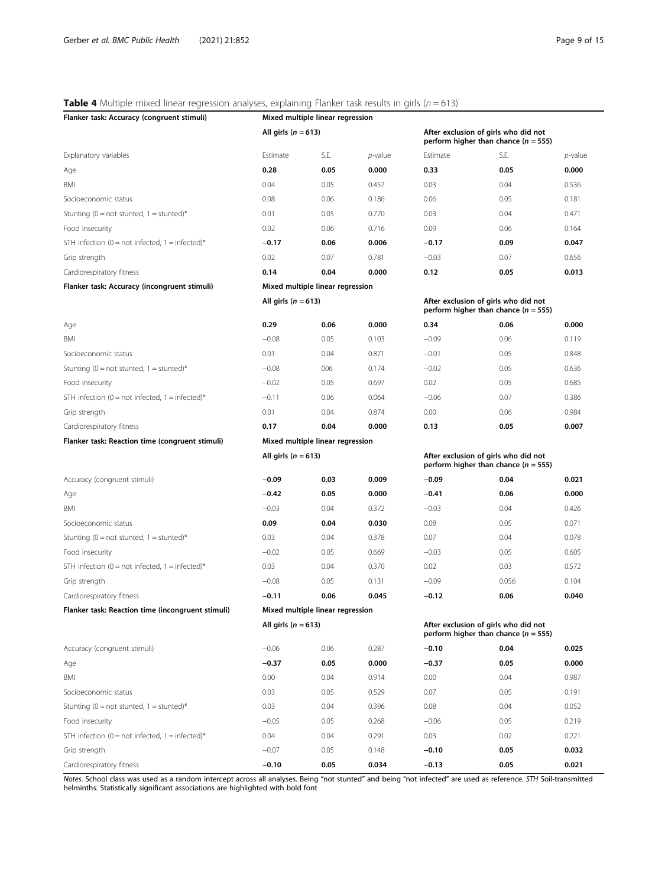## <span id="page-8-0"></span>**Table 4** Multiple mixed linear regression analyses, explaining Flanker task results in girls ( $n = 613$ )

| Flanker task: Accuracy (congruent stimuli)        | Mixed multiple linear regression                                                                          |                                  |            |                                                                                  |                                                                                  |         |  |  |
|---------------------------------------------------|-----------------------------------------------------------------------------------------------------------|----------------------------------|------------|----------------------------------------------------------------------------------|----------------------------------------------------------------------------------|---------|--|--|
|                                                   | All girls ( $n = 613$ )                                                                                   |                                  |            |                                                                                  | After exclusion of girls who did not<br>perform higher than chance ( $n = 555$ ) |         |  |  |
| Explanatory variables                             | Estimate                                                                                                  | S.E.                             | $p$ -value | Estimate                                                                         | S.E.                                                                             | p-value |  |  |
| Age                                               | 0.28                                                                                                      | 0.05                             | 0.000      | 0.33                                                                             | 0.05                                                                             | 0.000   |  |  |
| BMI                                               | 0.04                                                                                                      | 0.05                             | 0.457      | 0.03                                                                             | 0.04                                                                             | 0.536   |  |  |
| Socioeconomic status                              | 0.08                                                                                                      | 0.06                             | 0.186      | 0.06                                                                             | 0.05                                                                             | 0.181   |  |  |
| Stunting (0 = not stunted, 1 = stunted)*          | 0.01                                                                                                      | 0.05                             | 0.770      | 0.03                                                                             | 0.04                                                                             | 0.471   |  |  |
| Food insecurity                                   | 0.02                                                                                                      | 0.06                             | 0.716      | 0.09                                                                             | 0.06                                                                             | 0.164   |  |  |
| STH infection (0 = not infected, 1 = infected)*   | $-0.17$                                                                                                   | 0.06                             | 0.006      | $-0.17$                                                                          | 0.09                                                                             | 0.047   |  |  |
| Grip strength                                     | 0.02                                                                                                      | 0.07                             | 0.781      | $-0.03$                                                                          | 0.07                                                                             | 0.656   |  |  |
| Cardiorespiratory fitness                         | 0.14                                                                                                      | 0.04                             | 0.000      | 0.12                                                                             | 0.05                                                                             | 0.013   |  |  |
| Flanker task: Accuracy (incongruent stimuli)      | Mixed multiple linear regression                                                                          |                                  |            |                                                                                  |                                                                                  |         |  |  |
|                                                   | All girls ( $n = 613$ )                                                                                   |                                  |            | After exclusion of girls who did not<br>perform higher than chance ( $n = 555$ ) |                                                                                  |         |  |  |
| Age                                               | 0.29                                                                                                      | 0.06                             | 0.000      | 0.34                                                                             | 0.06                                                                             | 0.000   |  |  |
| BMI                                               | $-0.08$                                                                                                   | 0.05                             | 0.103      | $-0.09$                                                                          | 0.06                                                                             | 0.119   |  |  |
| Socioeconomic status                              | 0.01                                                                                                      | 0.04                             | 0.871      | $-0.01$                                                                          | 0.05                                                                             | 0.848   |  |  |
| Stunting (0 = not stunted, 1 = stunted)*          | $-0.08$                                                                                                   | 006                              | 0.174      | $-0.02$                                                                          | 0.05                                                                             | 0.636   |  |  |
| Food insecurity                                   | $-0.02$                                                                                                   | 0.05                             | 0.697      | 0.02                                                                             | 0.05                                                                             | 0.685   |  |  |
| STH infection (0 = not infected, 1 = infected)*   | $-0.11$                                                                                                   | 0.06                             | 0.064      | $-0.06$                                                                          | 0.07                                                                             | 0.386   |  |  |
| Grip strength                                     | 0.01                                                                                                      | 0.04                             | 0.874      | 0.00                                                                             | 0.06                                                                             | 0.984   |  |  |
| Cardiorespiratory fitness                         | 0.17                                                                                                      | 0.04                             | 0.000      | 0.13                                                                             | 0.05                                                                             | 0.007   |  |  |
| Flanker task: Reaction time (congruent stimuli)   |                                                                                                           | Mixed multiple linear regression |            |                                                                                  |                                                                                  |         |  |  |
|                                                   | All girls ( $n = 613$ )                                                                                   |                                  |            | After exclusion of girls who did not<br>perform higher than chance $(n = 555)$   |                                                                                  |         |  |  |
| Accuracy (congruent stimuli)                      | $-0.09$                                                                                                   | 0.03                             | 0.009      | $-0.09$                                                                          | 0.04                                                                             | 0.021   |  |  |
| Age                                               | $-0.42$                                                                                                   | 0.05                             | 0.000      | $-0.41$                                                                          | 0.06                                                                             | 0.000   |  |  |
| BMI                                               | $-0.03$                                                                                                   | 0.04                             | 0.372      | $-0.03$                                                                          | 0.04                                                                             | 0.426   |  |  |
| Socioeconomic status                              | 0.09                                                                                                      | 0.04                             | 0.030      | 0.08                                                                             | 0.05                                                                             | 0.071   |  |  |
| Stunting (0 = not stunted, 1 = stunted)*          | 0.03                                                                                                      | 0.04                             | 0.378      | 0.07                                                                             | 0.04                                                                             | 0.078   |  |  |
| Food insecurity                                   | $-0.02$                                                                                                   | 0.05                             | 0.669      | $-0.03$                                                                          | 0.05                                                                             | 0.605   |  |  |
| STH infection (0 = not infected, 1 = infected)*   | 0.03                                                                                                      | 0.04                             | 0.370      | 0.02                                                                             | 0.03                                                                             | 0.572   |  |  |
| Grip strength                                     | $-0.08$                                                                                                   | 0.05                             | 0.131      | $-0.09$                                                                          | 0.056                                                                            | 0.104   |  |  |
| Cardiorespiratory fitness                         | $-0.11$                                                                                                   | 0.06                             | 0.045      | $-0.12$                                                                          | 0.06                                                                             | 0.040   |  |  |
| Flanker task: Reaction time (incongruent stimuli) | Mixed multiple linear regression                                                                          |                                  |            |                                                                                  |                                                                                  |         |  |  |
|                                                   | All girls ( $n = 613$ )<br>After exclusion of girls who did not<br>perform higher than chance $(n = 555)$ |                                  |            |                                                                                  |                                                                                  |         |  |  |
| Accuracy (congruent stimuli)                      | $-0.06$                                                                                                   | 0.06                             | 0.287      | $-0.10$                                                                          | 0.04                                                                             | 0.025   |  |  |
| Age                                               | $-0.37$                                                                                                   | 0.05                             | 0.000      | $-0.37$                                                                          | 0.05                                                                             | 0.000   |  |  |
| BMI                                               | 0.00                                                                                                      | 0.04                             | 0.914      | 0.00                                                                             | 0.04                                                                             | 0.987   |  |  |
| Socioeconomic status                              | 0.03                                                                                                      | 0.05                             | 0.529      | 0.07                                                                             | 0.05                                                                             | 0.191   |  |  |
| Stunting ( $0 = not$ stunted, $1 =$ stunted)*     | 0.03                                                                                                      | 0.04                             | 0.396      | 0.08                                                                             | 0.04                                                                             | 0.052   |  |  |
| Food insecurity                                   | $-0.05$                                                                                                   | 0.05                             | 0.268      | $-0.06$                                                                          | 0.05                                                                             | 0.219   |  |  |
| STH infection (0 = not infected, 1 = infected)*   | 0.04                                                                                                      | 0.04                             | 0.291      | 0.03                                                                             | 0.02                                                                             | 0.221   |  |  |
| Grip strength                                     | $-0.07$                                                                                                   | 0.05                             | 0.148      | $-0.10$                                                                          | 0.05                                                                             | 0.032   |  |  |
| Cardiorespiratory fitness                         | $-0.10$                                                                                                   | 0.05                             | 0.034      | $-0.13$                                                                          | 0.05                                                                             | 0.021   |  |  |

Notes. School class was used as a random intercept across all analyses. Being "not stunted" and being "not infected" are used as reference. STH Soil-transmitted<br>helminths. Statistically significant associations are highlig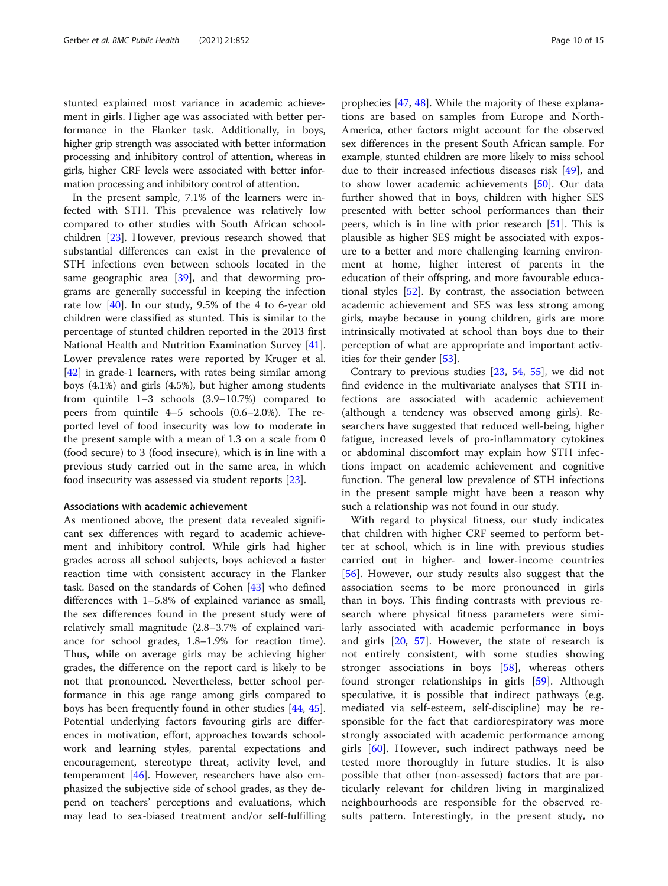stunted explained most variance in academic achievement in girls. Higher age was associated with better performance in the Flanker task. Additionally, in boys, higher grip strength was associated with better information processing and inhibitory control of attention, whereas in girls, higher CRF levels were associated with better information processing and inhibitory control of attention.

In the present sample, 7.1% of the learners were infected with STH. This prevalence was relatively low compared to other studies with South African schoolchildren [\[23\]](#page-12-0). However, previous research showed that substantial differences can exist in the prevalence of STH infections even between schools located in the same geographic area [[39](#page-12-0)], and that deworming programs are generally successful in keeping the infection rate low [[40\]](#page-13-0). In our study, 9.5% of the 4 to 6-year old children were classified as stunted. This is similar to the percentage of stunted children reported in the 2013 first National Health and Nutrition Examination Survey [\[41](#page-13-0)]. Lower prevalence rates were reported by Kruger et al. [[42\]](#page-13-0) in grade-1 learners, with rates being similar among boys (4.1%) and girls (4.5%), but higher among students from quintile 1–3 schools (3.9–10.7%) compared to peers from quintile 4–5 schools (0.6–2.0%). The reported level of food insecurity was low to moderate in the present sample with a mean of 1.3 on a scale from 0 (food secure) to 3 (food insecure), which is in line with a previous study carried out in the same area, in which food insecurity was assessed via student reports [[23\]](#page-12-0).

## Associations with academic achievement

As mentioned above, the present data revealed significant sex differences with regard to academic achievement and inhibitory control. While girls had higher grades across all school subjects, boys achieved a faster reaction time with consistent accuracy in the Flanker task. Based on the standards of Cohen [\[43](#page-13-0)] who defined differences with 1–5.8% of explained variance as small, the sex differences found in the present study were of relatively small magnitude (2.8–3.7% of explained variance for school grades, 1.8–1.9% for reaction time). Thus, while on average girls may be achieving higher grades, the difference on the report card is likely to be not that pronounced. Nevertheless, better school performance in this age range among girls compared to boys has been frequently found in other studies [\[44](#page-13-0), [45](#page-13-0)]. Potential underlying factors favouring girls are differences in motivation, effort, approaches towards schoolwork and learning styles, parental expectations and encouragement, stereotype threat, activity level, and temperament [[46\]](#page-13-0). However, researchers have also emphasized the subjective side of school grades, as they depend on teachers' perceptions and evaluations, which may lead to sex-biased treatment and/or self-fulfilling

prophecies [[47,](#page-13-0) [48\]](#page-13-0). While the majority of these explanations are based on samples from Europe and North-America, other factors might account for the observed sex differences in the present South African sample. For example, stunted children are more likely to miss school due to their increased infectious diseases risk [\[49](#page-13-0)], and to show lower academic achievements [\[50\]](#page-13-0). Our data further showed that in boys, children with higher SES presented with better school performances than their peers, which is in line with prior research [[51](#page-13-0)]. This is plausible as higher SES might be associated with exposure to a better and more challenging learning environment at home, higher interest of parents in the education of their offspring, and more favourable educational styles [[52\]](#page-13-0). By contrast, the association between academic achievement and SES was less strong among girls, maybe because in young children, girls are more intrinsically motivated at school than boys due to their perception of what are appropriate and important activities for their gender [[53\]](#page-13-0).

Contrary to previous studies [\[23](#page-12-0), [54](#page-13-0), [55\]](#page-13-0), we did not find evidence in the multivariate analyses that STH infections are associated with academic achievement (although a tendency was observed among girls). Researchers have suggested that reduced well-being, higher fatigue, increased levels of pro-inflammatory cytokines or abdominal discomfort may explain how STH infections impact on academic achievement and cognitive function. The general low prevalence of STH infections in the present sample might have been a reason why such a relationship was not found in our study.

With regard to physical fitness, our study indicates that children with higher CRF seemed to perform better at school, which is in line with previous studies carried out in higher- and lower-income countries [[56\]](#page-13-0). However, our study results also suggest that the association seems to be more pronounced in girls than in boys. This finding contrasts with previous research where physical fitness parameters were similarly associated with academic performance in boys and girls [[20,](#page-12-0) [57](#page-13-0)]. However, the state of research is not entirely consistent, with some studies showing stronger associations in boys [[58\]](#page-13-0), whereas others found stronger relationships in girls [[59\]](#page-13-0). Although speculative, it is possible that indirect pathways (e.g. mediated via self-esteem, self-discipline) may be responsible for the fact that cardiorespiratory was more strongly associated with academic performance among girls [\[60](#page-13-0)]. However, such indirect pathways need be tested more thoroughly in future studies. It is also possible that other (non-assessed) factors that are particularly relevant for children living in marginalized neighbourhoods are responsible for the observed results pattern. Interestingly, in the present study, no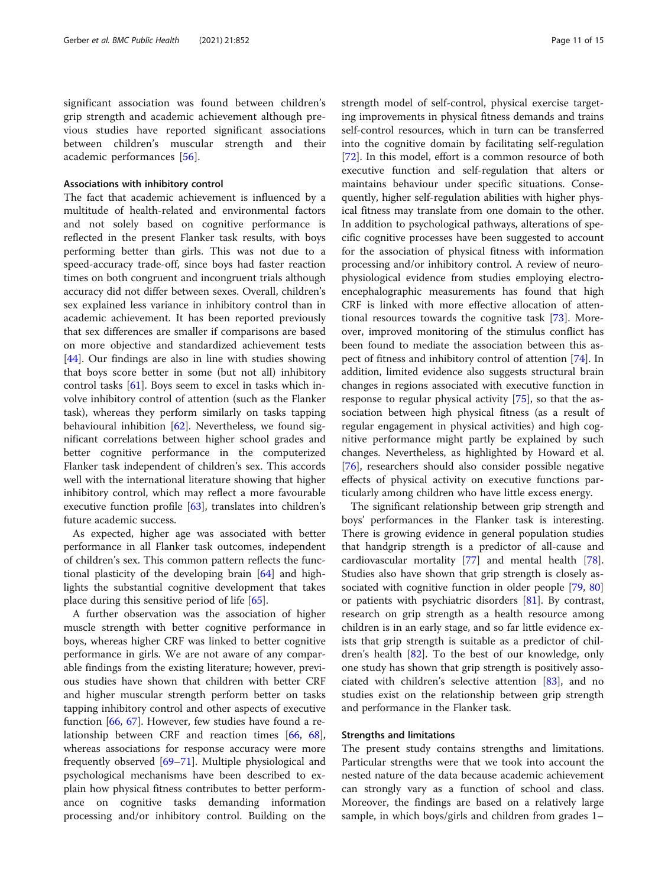significant association was found between children's grip strength and academic achievement although previous studies have reported significant associations between children's muscular strength and their academic performances [[56](#page-13-0)].

## Associations with inhibitory control

The fact that academic achievement is influenced by a multitude of health-related and environmental factors and not solely based on cognitive performance is reflected in the present Flanker task results, with boys performing better than girls. This was not due to a speed-accuracy trade-off, since boys had faster reaction times on both congruent and incongruent trials although accuracy did not differ between sexes. Overall, children's sex explained less variance in inhibitory control than in academic achievement. It has been reported previously that sex differences are smaller if comparisons are based on more objective and standardized achievement tests [[44\]](#page-13-0). Our findings are also in line with studies showing that boys score better in some (but not all) inhibitory control tasks [\[61\]](#page-13-0). Boys seem to excel in tasks which involve inhibitory control of attention (such as the Flanker task), whereas they perform similarly on tasks tapping behavioural inhibition [\[62](#page-13-0)]. Nevertheless, we found significant correlations between higher school grades and better cognitive performance in the computerized Flanker task independent of children's sex. This accords well with the international literature showing that higher inhibitory control, which may reflect a more favourable executive function profile [[63\]](#page-13-0), translates into children's future academic success.

As expected, higher age was associated with better performance in all Flanker task outcomes, independent of children's sex. This common pattern reflects the functional plasticity of the developing brain [\[64\]](#page-13-0) and highlights the substantial cognitive development that takes place during this sensitive period of life [\[65](#page-13-0)].

A further observation was the association of higher muscle strength with better cognitive performance in boys, whereas higher CRF was linked to better cognitive performance in girls. We are not aware of any comparable findings from the existing literature; however, previous studies have shown that children with better CRF and higher muscular strength perform better on tasks tapping inhibitory control and other aspects of executive function [\[66](#page-13-0), [67\]](#page-13-0). However, few studies have found a relationship between CRF and reaction times [\[66](#page-13-0), [68](#page-13-0)], whereas associations for response accuracy were more frequently observed [\[69](#page-13-0)–[71\]](#page-13-0). Multiple physiological and psychological mechanisms have been described to explain how physical fitness contributes to better performance on cognitive tasks demanding information processing and/or inhibitory control. Building on the strength model of self-control, physical exercise targeting improvements in physical fitness demands and trains self-control resources, which in turn can be transferred into the cognitive domain by facilitating self-regulation [[72\]](#page-13-0). In this model, effort is a common resource of both executive function and self-regulation that alters or maintains behaviour under specific situations. Consequently, higher self-regulation abilities with higher physical fitness may translate from one domain to the other. In addition to psychological pathways, alterations of specific cognitive processes have been suggested to account for the association of physical fitness with information processing and/or inhibitory control. A review of neurophysiological evidence from studies employing electroencephalographic measurements has found that high CRF is linked with more effective allocation of attentional resources towards the cognitive task [\[73](#page-13-0)]. Moreover, improved monitoring of the stimulus conflict has been found to mediate the association between this aspect of fitness and inhibitory control of attention [[74\]](#page-13-0). In addition, limited evidence also suggests structural brain changes in regions associated with executive function in response to regular physical activity [[75\]](#page-13-0), so that the association between high physical fitness (as a result of regular engagement in physical activities) and high cognitive performance might partly be explained by such changes. Nevertheless, as highlighted by Howard et al. [[76\]](#page-13-0), researchers should also consider possible negative effects of physical activity on executive functions particularly among children who have little excess energy.

The significant relationship between grip strength and boys' performances in the Flanker task is interesting. There is growing evidence in general population studies that handgrip strength is a predictor of all-cause and cardiovascular mortality [\[77](#page-13-0)] and mental health [\[78](#page-13-0)]. Studies also have shown that grip strength is closely as-sociated with cognitive function in older people [\[79,](#page-13-0) [80](#page-14-0)] or patients with psychiatric disorders [\[81](#page-14-0)]. By contrast, research on grip strength as a health resource among children is in an early stage, and so far little evidence exists that grip strength is suitable as a predictor of children's health [\[82](#page-14-0)]. To the best of our knowledge, only one study has shown that grip strength is positively associated with children's selective attention [\[83\]](#page-14-0), and no studies exist on the relationship between grip strength and performance in the Flanker task.

## Strengths and limitations

The present study contains strengths and limitations. Particular strengths were that we took into account the nested nature of the data because academic achievement can strongly vary as a function of school and class. Moreover, the findings are based on a relatively large sample, in which boys/girls and children from grades 1–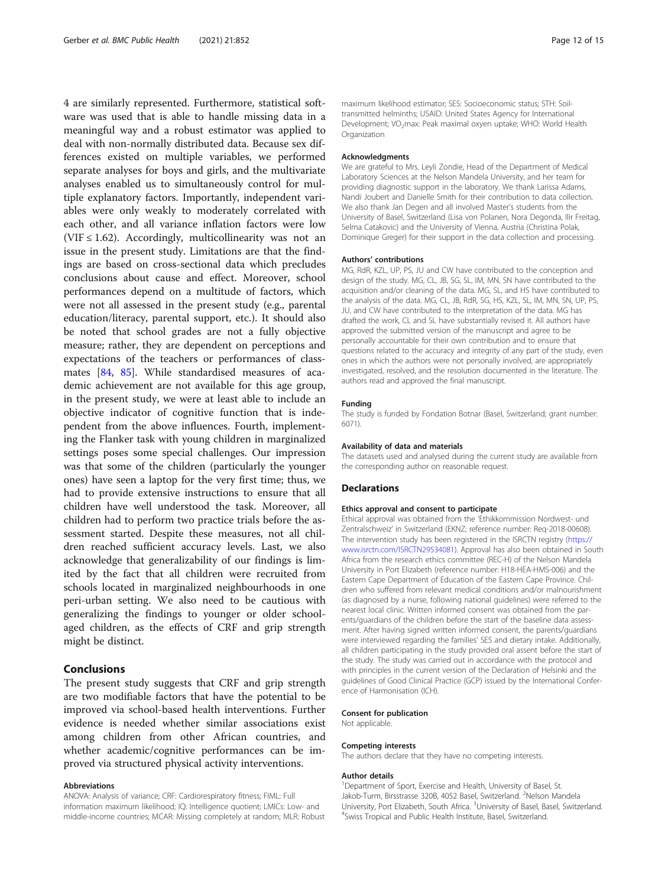4 are similarly represented. Furthermore, statistical software was used that is able to handle missing data in a meaningful way and a robust estimator was applied to deal with non-normally distributed data. Because sex differences existed on multiple variables, we performed separate analyses for boys and girls, and the multivariate analyses enabled us to simultaneously control for multiple explanatory factors. Importantly, independent variables were only weakly to moderately correlated with each other, and all variance inflation factors were low (VIF  $\leq$  1.62). Accordingly, multicollinearity was not an issue in the present study. Limitations are that the findings are based on cross-sectional data which precludes conclusions about cause and effect. Moreover, school performances depend on a multitude of factors, which were not all assessed in the present study (e.g., parental education/literacy, parental support, etc.). It should also be noted that school grades are not a fully objective measure; rather, they are dependent on perceptions and expectations of the teachers or performances of classmates [[84](#page-14-0), [85](#page-14-0)]. While standardised measures of academic achievement are not available for this age group, in the present study, we were at least able to include an objective indicator of cognitive function that is independent from the above influences. Fourth, implementing the Flanker task with young children in marginalized settings poses some special challenges. Our impression was that some of the children (particularly the younger ones) have seen a laptop for the very first time; thus, we had to provide extensive instructions to ensure that all children have well understood the task. Moreover, all children had to perform two practice trials before the assessment started. Despite these measures, not all children reached sufficient accuracy levels. Last, we also acknowledge that generalizability of our findings is limited by the fact that all children were recruited from schools located in marginalized neighbourhoods in one peri-urban setting. We also need to be cautious with generalizing the findings to younger or older schoolaged children, as the effects of CRF and grip strength might be distinct.

## Conclusions

The present study suggests that CRF and grip strength are two modifiable factors that have the potential to be improved via school-based health interventions. Further evidence is needed whether similar associations exist among children from other African countries, and whether academic/cognitive performances can be improved via structured physical activity interventions.

#### Abbreviations

ANOVA: Analysis of variance; CRF: Cardiorespiratory fitness; FIML: Full information maximum likelihood; IQ: Intelligence quotient; LMICs: Low- and middle-income countries; MCAR: Missing completely at random; MLR: Robust maximum likelihood estimator; SES: Socioeconomic status; STH: Soiltransmitted helminths; USAID: United States Agency for International Development; VO<sub>2</sub>max: Peak maximal oxyen uptake; WHO: World Health **Organization** 

## Acknowledgments

We are grateful to Mrs. Leyli Zondie, Head of the Department of Medical Laboratory Sciences at the Nelson Mandela University, and her team for providing diagnostic support in the laboratory. We thank Larissa Adams, Nandi Joubert and Danielle Smith for their contribution to data collection. We also thank Jan Degen and all involved Master's students from the University of Basel, Switzerland (Lisa von Polanen, Nora Degonda, Ilir Freitag, Selma Catakovic) and the University of Vienna, Austria (Christina Polak, Dominique Greger) for their support in the data collection and processing.

### Authors' contributions

MG, RdR, KZL, UP, PS, JU and CW have contributed to the conception and design of the study. MG, CL, JB, SG, SL, IM, MN, SN have contributed to the acquisition and/or cleaning of the data. MG, SL, and HS have contributed to the analysis of the data. MG, CL, JB, RdR, SG, HS, KZL, SL, IM, MN, SN, UP, PS, JU, and CW have contributed to the interpretation of the data. MG has drafted the work, CL and SL have substantially revised it. All authors have approved the submitted version of the manuscript and agree to be personally accountable for their own contribution and to ensure that questions related to the accuracy and integrity of any part of the study, even ones in which the authors were not personally involved, are appropriately investigated, resolved, and the resolution documented in the literature. The authors read and approved the final manuscript.

### Funding

The study is funded by Fondation Botnar (Basel, Switzerland; grant number: 6071).

#### Availability of data and materials

The datasets used and analysed during the current study are available from the corresponding author on reasonable request.

## Declarations

#### Ethics approval and consent to participate

Ethical approval was obtained from the 'Ethikkommission Nordwest- und Zentralschweiz' in Switzerland (EKNZ; reference number: Req-2018-00608). The intervention study has been registered in the ISRCTN registry ([https://](https://www.isrctn.com/ISRCTN29534081) [www.isrctn.com/ISRCTN29534081](https://www.isrctn.com/ISRCTN29534081)). Approval has also been obtained in South Africa from the research ethics committee (REC-H) of the Nelson Mandela University in Port Elizabeth (reference number: H18-HEA-HMS-006) and the Eastern Cape Department of Education of the Eastern Cape Province. Children who suffered from relevant medical conditions and/or malnourishment (as diagnosed by a nurse, following national guidelines) were referred to the nearest local clinic. Written informed consent was obtained from the parents/guardians of the children before the start of the baseline data assessment. After having signed written informed consent, the parents/guardians were interviewed regarding the families' SES and dietary intake. Additionally, all children participating in the study provided oral assent before the start of the study. The study was carried out in accordance with the protocol and with principles in the current version of the Declaration of Helsinki and the guidelines of Good Clinical Practice (GCP) issued by the International Conference of Harmonisation (ICH).

#### Consent for publication

Not applicable.

#### Competing interests

The authors declare that they have no competing interests.

### Author details

<sup>1</sup>Department of Sport, Exercise and Health, University of Basel, St. Jakob-Turm, Birsstrasse 320B, 4052 Basel, Switzerland. <sup>2</sup>Nelson Mandela University, Port Elizabeth, South Africa. <sup>3</sup>University of Basel, Basel, Switzerland.<br><sup>4</sup>Swits Tropical and Public Hoalth Institute Basel, Switzerland. <sup>4</sup> Swiss Tropical and Public Health Institute, Basel, Switzerland.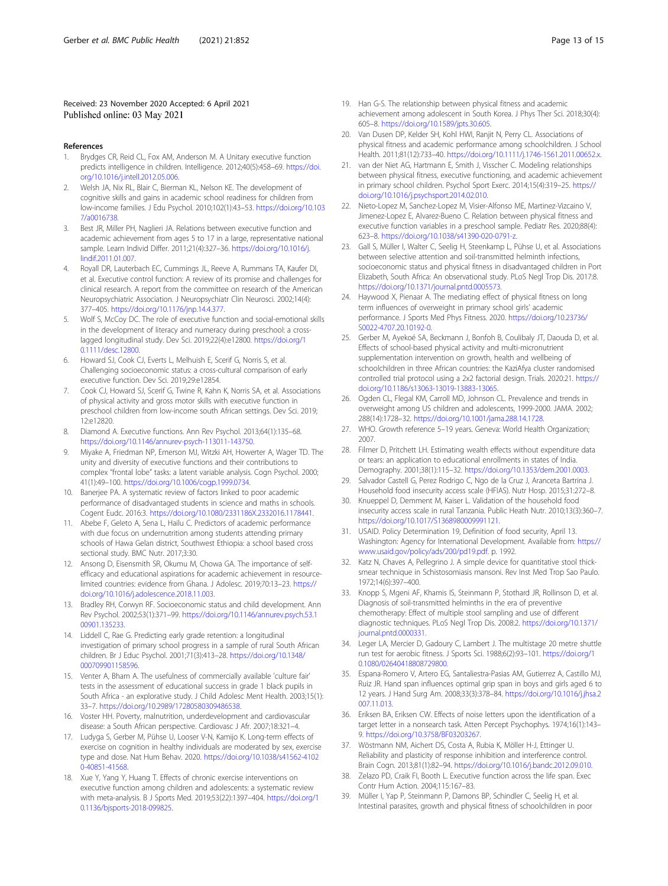## <span id="page-12-0"></span>Received: 23 November 2020 Accepted: 6 April 2021 Published online: 03 May 2021

### References

- 1. Brydges CR, Reid CL, Fox AM, Anderson M. A Unitary executive function predicts intelligence in children. Intelligence. 2012;40(5):458–69. [https://doi.](https://doi.org/10.1016/j.intell.2012.05.006) [org/10.1016/j.intell.2012.05.006.](https://doi.org/10.1016/j.intell.2012.05.006)
- 2. Welsh JA, Nix RL, Blair C, Bierman KL, Nelson KE. The development of cognitive skills and gains in academic school readiness for children from low-income families. J Edu Psychol. 2010;102(1):43–53. [https://doi.org/10.103](https://doi.org/10.1037/a0016738) [7/a0016738.](https://doi.org/10.1037/a0016738)
- 3. Best JR, Miller PH, Naglieri JA. Relations between executive function and academic achievement from ages 5 to 17 in a large, representative national sample. Learn Individ Differ. 2011;21(4):327–36. [https://doi.org/10.1016/j.](https://doi.org/10.1016/j.lindif.2011.01.007) [lindif.2011.01.007.](https://doi.org/10.1016/j.lindif.2011.01.007)
- 4. Royall DR, Lauterbach EC, Cummings JL, Reeve A, Rummans TA, Kaufer DI, et al. Executive control function: A review of its promise and challenges for clinical research. A report from the committee on research of the American Neuropsychiatric Association. J Neuropsychiatr Clin Neurosci. 2002;14(4): 377–405. <https://doi.org/10.1176/jnp.14.4.377>.
- 5. Wolf S, McCoy DC. The role of executive function and social-emotional skills in the development of literacy and numeracy during preschool: a crosslagged longitudinal study. Dev Sci. 2019;22(4):e12800. [https://doi.org/1](https://doi.org/10.1111/desc.12800) [0.1111/desc.12800.](https://doi.org/10.1111/desc.12800)
- 6. Howard SJ, Cook CJ, Everts L, Melhuish E, Scerif G, Norris S, et al. Challenging socioeconomic status: a cross-cultural comparison of early executive function. Dev Sci. 2019;29:e12854.
- 7. Cook CJ, Howard SJ, Scerif G, Twine R, Kahn K, Norris SA, et al. Associations of physical activity and gross motor skills with executive function in preschool children from low-income south African settings. Dev Sci. 2019; 12:e12820.
- 8. Diamond A. Executive functions. Ann Rev Psychol. 2013;64(1):135–68. [https://doi.org/10.1146/annurev-psych-113011-143750.](https://doi.org/10.1146/annurev-psych-113011-143750)
- 9. Miyake A, Friedman NP, Emerson MJ, Witzki AH, Howerter A, Wager TD. The unity and diversity of executive functions and their contributions to complex "frontal lobe" tasks: a latent variable analysis. Cogn Psychol. 2000; 41(1):49–100. <https://doi.org/10.1006/cogp.1999.0734>.
- 10. Banerjee PA. A systematic review of factors linked to poor academic performance of disadvantaged students in science and maths in schools. Cogent Eudc. 2016:3. [https://doi.org/10.1080/2331186X.2332016.1178441.](https://doi.org/10.1080/2331186X.2332016.1178441)
- 11. Abebe F, Geleto A, Sena L, Hailu C. Predictors of academic performance with due focus on undernutrition among students attending primary schools of Hawa Gelan district, Southwest Ethiopia: a school based cross sectional study. BMC Nutr. 2017;3:30.
- 12. Ansong D, Eisensmith SR, Okumu M, Chowa GA. The importance of selfefficacy and educational aspirations for academic achievement in resourcelimited countries: evidence from Ghana. J Adolesc. 2019;70:13–23. [https://](https://doi.org/10.1016/j.adolescence.2018.11.003) [doi.org/10.1016/j.adolescence.2018.11.003](https://doi.org/10.1016/j.adolescence.2018.11.003).
- 13. Bradley RH, Corwyn RF. Socioeconomic status and child development. Ann Rev Psychol. 2002;53(1):371–99. [https://doi.org/10.1146/annurev.psych.53.1](https://doi.org/10.1146/annurev.psych.53.100901.135233) [00901.135233](https://doi.org/10.1146/annurev.psych.53.100901.135233).
- 14. Liddell C, Rae G. Predicting early grade retention: a longitudinal investigation of primary school progress in a sample of rural South African children. Br J Educ Psychol. 2001;71(3):413–28. [https://doi.org/10.1348/](https://doi.org/10.1348/000709901158596) [000709901158596.](https://doi.org/10.1348/000709901158596)
- 15. Venter A, Bham A. The usefulness of commercially available 'culture fair' tests in the assessment of educational success in grade 1 black pupils in South Africa - an explorative study. J Child Adolesc Ment Health. 2003;15(1): 33–7. <https://doi.org/10.2989/17280580309486538>.
- 16. Voster HH. Poverty, malnutrition, underdevelopment and cardiovascular disease: a South African perspective. Cardiovasc J Afr. 2007;18:321–4.
- 17. Ludyga S, Gerber M, Pühse U, Looser V-N, Kamijo K. Long-term effects of exercise on cognition in healthy individuals are moderated by sex, exercise type and dose. Nat Hum Behav. 2020. [https://doi.org/10.1038/s41562-4102](https://doi.org/10.1038/s41562-41020-40851-41568) [0-40851-41568](https://doi.org/10.1038/s41562-41020-40851-41568).
- 18. Xue Y, Yang Y, Huang T. Effects of chronic exercise interventions on executive function among children and adolescents: a systematic review with meta-analysis. B J Sports Med. 2019;53(22):1397–404. [https://doi.org/1](https://doi.org/10.1136/bjsports-2018-099825) [0.1136/bjsports-2018-099825](https://doi.org/10.1136/bjsports-2018-099825).
- 19. Han G-S. The relationship between physical fitness and academic achievement among adolescent in South Korea. J Phys Ther Sci. 2018;30(4): 605–8. [https://doi.org/10.1589/jpts.30.605.](https://doi.org/10.1589/jpts.30.605)
- 20. Van Dusen DP, Kelder SH, Kohl HWI, Ranjit N, Perry CL. Associations of physical fitness and academic performance among schoolchildren. J School Health. 2011;81(12):733–40. <https://doi.org/10.1111/j.1746-1561.2011.00652.x>.
- 21. van der Niet AG, Hartmann E, Smith J, Visscher C. Modeling relationships between physical fitness, executive functioning, and academic achievement in primary school children. Psychol Sport Exerc. 2014;15(4):319–25. [https://](https://doi.org/10.1016/j.psychsport.2014.02.010) [doi.org/10.1016/j.psychsport.2014.02.010](https://doi.org/10.1016/j.psychsport.2014.02.010).
- 22. Nieto-Lopez M, Sanchez-Lopez M, Visier-Alfonso ME, Martinez-Vizcaino V, Jimenez-Lopez E, Alvarez-Bueno C. Relation between physical fitness and executive function variables in a preschool sample. Pediatr Res. 2020;88(4): 623–8. <https://doi.org/10.1038/s41390-020-0791-z>.
- 23. Gall S, Müller I, Walter C, Seelig H, Steenkamp L, Pühse U, et al. Associations between selective attention and soil-transmitted helminth infections, socioeconomic status and physical fitness in disadvantaged children in Port Elizabeth, South Africa: An observational study. PLoS Negl Trop Dis. 2017:8. <https://doi.org/10.1371/journal.pntd.0005573>.
- 24. Haywood X, Pienaar A. The mediating effect of physical fitness on long term influences of overweight in primary school girls' academic performance. J Sports Med Phys Fitness. 2020. [https://doi.org/10.23736/](https://doi.org/10.23736/S0022-4707.20.10192-0) [S0022-4707.20.10192-0](https://doi.org/10.23736/S0022-4707.20.10192-0).
- 25. Gerber M, Ayekoé SA, Beckmann J, Bonfoh B, Coulibaly JT, Daouda D, et al. Effects of school-based physical activity and multi-micronutrient supplementation intervention on growth, health and wellbeing of schoolchildren in three African countries: the KaziAfya cluster randomised controlled trial protocol using a 2x2 factorial design. Trials. 2020:21. [https://](https://doi.org/10.1186/s13063-13019-13883-13065) [doi.org/10.1186/s13063-13019-13883-13065](https://doi.org/10.1186/s13063-13019-13883-13065).
- 26. Ogden CL, Flegal KM, Carroll MD, Johnson CL. Prevalence and trends in overweight among US children and adolescents, 1999-2000. JAMA. 2002; 288(14):1728–32. <https://doi.org/10.1001/jama.288.14.1728>.
- 27. WHO. Growth reference 5–19 years. Geneva: World Health Organization; 2007.
- 28. Filmer D, Pritchett LH. Estimating wealth effects without expenditure data or tears: an application to educational enrollments in states of India. Demography. 2001;38(1):115–32. <https://doi.org/10.1353/dem.2001.0003>.
- 29. Salvador Castell G, Perez Rodrigo C, Ngo de la Cruz J, Aranceta Bartrina J. Household food insecurity access scale (HFIAS). Nutr Hosp. 2015;31:272–8.
- 30. Knueppel D, Demment M, Kaiser L. Validation of the household food insecurity access scale in rural Tanzania. Public Heath Nutr. 2010;13(3):360–7. [https://doi.org/10.1017/S1368980009991121.](https://doi.org/10.1017/S1368980009991121)
- 31. USAID. Policy Determination 19, Definition of food security, April 13. Washington: Agency for International Development. Available from: [https://](https://www.usaid.gov/policy/ads/200/pd19.pdf) [www.usaid.gov/policy/ads/200/pd19.pdf.](https://www.usaid.gov/policy/ads/200/pd19.pdf) p. 1992.
- 32. Katz N, Chaves A, Pellegrino J. A simple device for quantitative stool thicksmear technique in Schistosomiasis mansoni. Rev Inst Med Trop Sao Paulo. 1972;14(6):397–400.
- 33. Knopp S, Mgeni AF, Khamis IS, Steinmann P, Stothard JR, Rollinson D, et al. Diagnosis of soil-transmitted helminths in the era of preventive chemotherapy: Effect of multiple stool sampling and use of different diagnostic techniques. PLoS Negl Trop Dis. 2008:2. [https://doi.org/10.1371/](https://doi.org/10.1371/journal.pntd.0000331) [journal.pntd.0000331](https://doi.org/10.1371/journal.pntd.0000331).
- 34. Leger LA, Mercier D, Gadoury C, Lambert J. The multistage 20 metre shuttle run test for aerobic fitness. J Sports Sci. 1988;6(2):93–101. [https://doi.org/1](https://doi.org/10.1080/02640418808729800) [0.1080/02640418808729800](https://doi.org/10.1080/02640418808729800).
- 35. Espana-Romero V, Artero EG, Santaliestra-Pasias AM, Gutierrez A, Castillo MJ, Ruiz JR. Hand span influences optimal grip span in boys and girls aged 6 to 12 years. J Hand Surg Am. 2008;33(3):378–84. [https://doi.org/10.1016/j.jhsa.2](https://doi.org/10.1016/j.jhsa.2007.11.013) [007.11.013](https://doi.org/10.1016/j.jhsa.2007.11.013).
- 36. Eriksen BA, Eriksen CW. Effects of noise letters upon the identification of a target letter in a nonsearch task. Atten Percept Psychophys. 1974;16(1):143– 9. [https://doi.org/10.3758/BF03203267.](https://doi.org/10.3758/BF03203267)
- 37. Wöstmann NM, Aichert DS, Costa A, Rubia K, Möller H-J, Ettinger U. Reliability and plasticity of response inhibition and interference control. Brain Cogn. 2013;81(1):82–94. <https://doi.org/10.1016/j.bandc.2012.09.010>.
- 38. Zelazo PD, Craik FI, Booth L. Executive function across the life span. Exec Contr Hum Action. 2004;115:167–83.
- 39. Müller I, Yap P, Steinmann P, Damons BP, Schindler C, Seelig H, et al. Intestinal parasites, growth and physical fitness of schoolchildren in poor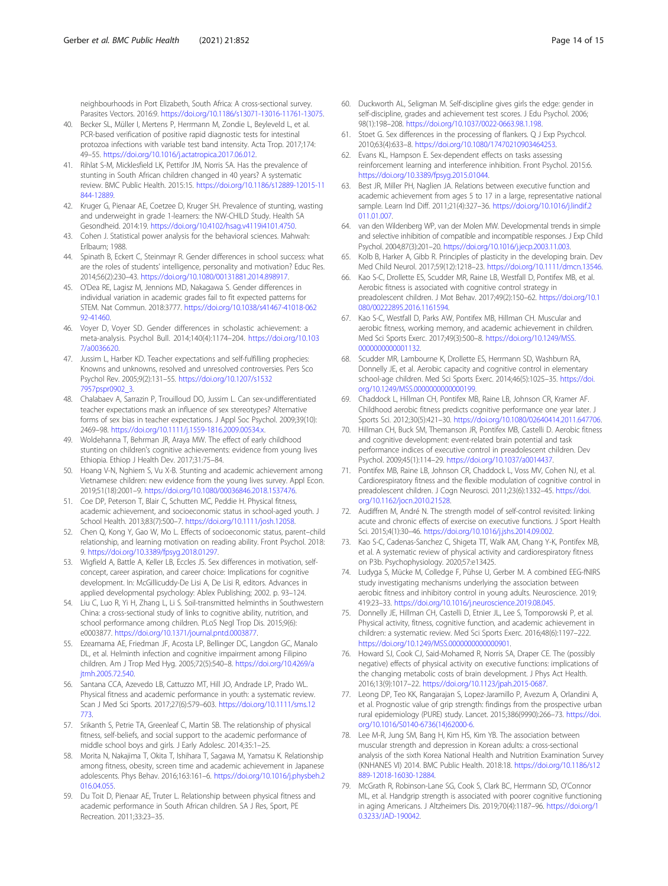<span id="page-13-0"></span>neighbourhoods in Port Elizabeth, South Africa: A cross-sectional survey. Parasites Vectors. 2016:9. <https://doi.org/10.1186/s13071-13016-11761-13075>.

- 40. Becker SL, Müller I, Mertens P, Herrmann M, Zondie L, Beyleveld L, et al. PCR-based verification of positive rapid diagnostic tests for intestinal protozoa infections with variable test band intensity. Acta Trop. 2017;174: 49–55. [https://doi.org/10.1016/j.actatropica.2017.06.012.](https://doi.org/10.1016/j.actatropica.2017.06.012)
- 41. Rihlat S-M, Micklesfield LK, Pettifor JM, Norris SA. Has the prevalence of stunting in South African children changed in 40 years? A systematic review. BMC Public Health. 2015:15. [https://doi.org/10.1186/s12889-12015-11](https://doi.org/10.1186/s12889-12015-11844-12889) [844-12889](https://doi.org/10.1186/s12889-12015-11844-12889).
- 42. Kruger G, Pienaar AE, Coetzee D, Kruger SH. Prevalence of stunting, wasting and underweight in grade 1-learners: the NW-CHILD Study. Health SA Gesondheid. 2014:19. [https://doi.org/10.4102/hsag.v4119i4101.4750.](https://doi.org/10.4102/hsag.v4119i4101.4750)
- 43. Cohen J. Statistical power analysis for the behavioral sciences. Mahwah: Erlbaum; 1988.
- 44. Spinath B, Eckert C, Steinmayr R. Gender differences in school success: what are the roles of students' intelligence, personality and motivation? Educ Res. 2014;56(2):230–43. [https://doi.org/10.1080/00131881.2014.898917.](https://doi.org/10.1080/00131881.2014.898917)
- 45. O'Dea RE, Lagisz M, Jennions MD, Nakagawa S. Gender differences in individual variation in academic grades fail to fit expected patterns for STEM. Nat Commun. 2018:3777. [https://doi.org/10.1038/s41467-41018-062](https://doi.org/10.1038/s41467-41018-06292-41460) [92-41460.](https://doi.org/10.1038/s41467-41018-06292-41460)
- 46. Voyer D, Voyer SD. Gender differences in scholastic achievement: a meta-analysis. Psychol Bull. 2014;140(4):1174–204. [https://doi.org/10.103](https://doi.org/10.1037/a0036620) [7/a0036620.](https://doi.org/10.1037/a0036620)
- 47. Jussim L, Harber KD. Teacher expectations and self-fulfilling prophecies: Knowns and unknowns, resolved and unresolved controversies. Pers Sco Psychol Rev. 2005;9(2):131–55. [https://doi.org/10.1207/s1532](https://doi.org/10.1207/s15327957pspr0902_3) [7957pspr0902\\_3](https://doi.org/10.1207/s15327957pspr0902_3).
- 48. Chalabaev A, Sarrazin P, Trouilloud DO, Jussim L. Can sex-undifferentiated teacher expectations mask an influence of sex stereotypes? Alternative forms of sex bias in teacher expectations. J Appl Soc Psychol. 2009;39(10): 2469–98. [https://doi.org/10.1111/j.1559-1816.2009.00534.x.](https://doi.org/10.1111/j.1559-1816.2009.00534.x)
- 49. Woldehanna T, Behrman JR, Araya MW. The effect of early childhood stunting on children's cognitive achievements: evidence from young lives Ethiopia. Ethiop J Health Dev. 2017;31:75–84.
- 50. Hoang V-N, Nghiem S, Vu X-B. Stunting and academic achievement among Vietnamese children: new evidence from the young lives survey. Appl Econ. 2019;51(18):2001–9. <https://doi.org/10.1080/00036846.2018.1537476>.
- 51. Coe DP, Peterson T, Blair C, Schutten MC, Peddie H. Physical fitness, academic achievement, and socioeconomic status in school-aged youth. J School Health. 2013;83(7):500–7. <https://doi.org/10.1111/josh.12058>.
- 52. Chen Q, Kong Y, Gao W, Mo L. Effects of socioeconomic status, parent–child relationship, and learning motivation on reading ability. Front Psychol. 2018: 9. <https://doi.org/10.3389/fpsyg.2018.01297>.
- 53. Wigfield A, Battle A, Keller LB, Eccles JS. Sex differences in motivation, selfconcept, career aspiration, and career choice: Implications for cognitive development. In: McGillicuddy-De Lisi A, De Lisi R, editors. Advances in applied developmental psychology: Ablex Publishing; 2002. p. 93–124.
- 54. Liu C, Luo R, Yi H, Zhang L, Li S. Soil-transmitted helminths in Southwestern China: a cross-sectional study of links to cognitive ability, nutrition, and school performance among children. PLoS Negl Trop Dis. 2015;9(6): e0003877. [https://doi.org/10.1371/journal.pntd.0003877.](https://doi.org/10.1371/journal.pntd.0003877)
- 55. Ezeamama AE, Friedman JF, Acosta LP, Bellinger DC, Langdon GC, Manalo DL, et al. Helminth infection and cognitive impairment among Filipino children. Am J Trop Med Hyg. 2005;72(5):540–8. [https://doi.org/10.4269/a](https://doi.org/10.4269/ajtmh.2005.72.540) itmh.2005.72.540.
- 56. Santana CCA, Azevedo LB, Cattuzzo MT, Hill JO, Andrade LP, Prado WL. Physical fitness and academic performance in youth: a systematic review. Scan J Med Sci Sports. 2017;27(6):579–603. [https://doi.org/10.1111/sms.12](https://doi.org/10.1111/sms.12773) [773.](https://doi.org/10.1111/sms.12773)
- 57. Srikanth S, Petrie TA, Greenleaf C, Martin SB. The relationship of physical fitness, self-beliefs, and social support to the academic performance of middle school boys and girls. J Early Adolesc. 2014;35:1–25.
- 58. Morita N, Nakajima T, Okita T, Ishihara T, Sagawa M, Yamatsu K. Relationship among fitness, obesity, screen time and academic achievement in Japanese adolescents. Phys Behav. 2016;163:161–6. [https://doi.org/10.1016/j.physbeh.2](https://doi.org/10.1016/j.physbeh.2016.04.055) [016.04.055](https://doi.org/10.1016/j.physbeh.2016.04.055).
- 59. Du Toit D, Pienaar AE, Truter L. Relationship between physical fitness and academic performance in South African children. SA J Res, Sport, PE Recreation. 2011;33:23–35.
- 60. Duckworth AL, Seligman M. Self-discipline gives girls the edge: gender in self-discipline, grades and achievement test scores. J Edu Psychol. 2006; 98(1):198–208. [https://doi.org/10.1037/0022-0663.98.1.198.](https://doi.org/10.1037/0022-0663.98.1.198)
- 61. Stoet G. Sex differences in the processing of flankers. Q J Exp Psychcol. 2010;63(4):633–8. <https://doi.org/10.1080/17470210903464253>.
- 62. Evans KL, Hampson E. Sex-dependent effects on tasks assessing reinforcement learning and interference inhibition. Front Psychol. 2015:6. <https://doi.org/10.3389/fpsyg.2015.01044>.
- 63. Best JR, Miller PH, Naglien JA. Relations between executive function and academic achievement from ages 5 to 17 in a large, representative national sample. Learn Ind Diff. 2011;21(4):327–36. [https://doi.org/10.1016/j.lindif.2](https://doi.org/10.1016/j.lindif.2011.01.007) [011.01.007](https://doi.org/10.1016/j.lindif.2011.01.007)
- 64. van den Wildenberg WP, van der Molen MW. Developmental trends in simple and selective inhibition of compatible and incompatible responses. J Exp Child Psychol. 2004;87(3):201–20. [https://doi.org/10.1016/j.jecp.2003.11.003.](https://doi.org/10.1016/j.jecp.2003.11.003)
- 65. Kolb B, Harker A, Gibb R. Principles of plasticity in the developing brain. Dev Med Child Neurol. 2017;59(12):1218–23. <https://doi.org/10.1111/dmcn.13546>.
- 66. Kao S-C, Drollette ES, Scudder MR, Raine LB, Westfall D, Pontifex MB, et al. Aerobic fitness is associated with cognitive control strategy in preadolescent children. J Mot Behav. 2017;49(2):150–62. [https://doi.org/10.1](https://doi.org/10.1080/00222895.2016.1161594) [080/00222895.2016.1161594.](https://doi.org/10.1080/00222895.2016.1161594)
- 67. Kao S-C, Westfall D, Parks AW, Pontifex MB, Hillman CH. Muscular and aerobic fitness, working memory, and academic achievement in children. Med Sci Sports Exerc. 2017;49(3):500–8. [https://doi.org/10.1249/MSS.](https://doi.org/10.1249/MSS.0000000000001132) [0000000000001132](https://doi.org/10.1249/MSS.0000000000001132)
- 68. Scudder MR, Lambourne K, Drollette ES, Herrmann SD, Washburn RA, Donnelly JE, et al. Aerobic capacity and cognitive control in elementary school-age children. Med Sci Sports Exerc. 2014;46(5):1025–35. [https://doi.](https://doi.org/10.1249/MSS.0000000000000199) [org/10.1249/MSS.0000000000000199.](https://doi.org/10.1249/MSS.0000000000000199)
- 69. Chaddock L, Hillman CH, Pontifex MB, Raine LB, Johnson CR, Kramer AF. Childhood aerobic fitness predicts cognitive performance one year later. J Sports Sci. 2012;30(5):421–30. [https://doi.org/10.1080/02640414.2011.647706.](https://doi.org/10.1080/02640414.2011.647706)
- 70. Hillman CH, Buck SM, Themanson JR, Pontifex MB, Castelli D. Aerobic fitness and cognitive development: event-related brain potential and task performance indices of executive control in preadolescent children. Dev Psychol. 2009;45(1):114–29. [https://doi.org/10.1037/a0014437.](https://doi.org/10.1037/a0014437)
- 71. Pontifex MB, Raine LB, Johnson CR, Chaddock L, Voss MV, Cohen NJ, et al. Cardiorespiratory fitness and the flexible modulation of cognitive control in preadolescent children. J Cogn Neurosci. 2011;23(6):1332–45. [https://doi.](https://doi.org/10.1162/jocn.2010.21528) [org/10.1162/jocn.2010.21528](https://doi.org/10.1162/jocn.2010.21528).
- 72. Audiffren M, André N. The strength model of self-control revisited: linking acute and chronic effects of exercise on executive functions. J Sport Health Sci. 2015;4(1):30–46. [https://doi.org/10.1016/j.jshs.2014.09.002.](https://doi.org/10.1016/j.jshs.2014.09.002)
- 73. Kao S-C, Cadenas-Sanchez C, Shigeta TT, Walk AM, Chang Y-K, Pontifex MB, et al. A systematic review of physical activity and cardiorespiratory fitness on P3b. Psychophysiology. 2020;57:e13425.
- 74. Ludyga S, Mücke M, Colledge F, Pühse U, Gerber M. A combined EEG-fNIRS study investigating mechanisms underlying the association between aerobic fitness and inhibitory control in young adults. Neuroscience. 2019; 419:23–33. [https://doi.org/10.1016/j.neuroscience.2019.08.045.](https://doi.org/10.1016/j.neuroscience.2019.08.045)
- 75. Donnelly JE, Hillman CH, Castelli D, Etnier JL, Lee S, Tomporowski P, et al. Physical activity, fitness, cognitive function, and academic achievement in children: a systematic review. Med Sci Sports Exerc. 2016;48(6):1197–222. [https://doi.org/10.1249/MSS.0000000000000901.](https://doi.org/10.1249/MSS.0000000000000901)
- 76. Howard SJ, Cook CJ, Said-Mohamed R, Norris SA, Draper CE. The (possibly negative) effects of physical activity on executive functions: implications of the changing metabolic costs of brain development. J Phys Act Health. 2016;13(9):1017–22. <https://doi.org/10.1123/jpah.2015-0687>.
- 77. Leong DP, Teo KK, Rangarajan S, Lopez-Jaramillo P, Avezum A, Orlandini A, et al. Prognostic value of grip strength: findings from the prospective urban rural epidemiology (PURE) study. Lancet. 2015;386(9990):266–73. [https://doi.](https://doi.org/10.1016/S0140-6736(14)62000-6) [org/10.1016/S0140-6736\(14\)62000-6.](https://doi.org/10.1016/S0140-6736(14)62000-6)
- 78. Lee M-R, Jung SM, Bang H, Kim HS, Kim YB. The association between muscular strength and depression in Korean adults: a cross-sectional analysis of the sixth Korea National Health and Nutrition Examination Survey (KNHANES VI) 2014. BMC Public Health. 2018:18. [https://doi.org/10.1186/s12](https://doi.org/10.1186/s12889-12018-16030-12884) [889-12018-16030-12884](https://doi.org/10.1186/s12889-12018-16030-12884).
- 79. McGrath R, Robinson-Lane SG, Cook S, Clark BC, Herrmann SD, O'Connor ML, et al. Handgrip strength is associated with poorer cognitive functioning in aging Americans. J Altzheimers Dis. 2019;70(4):1187–96. [https://doi.org/1](https://doi.org/10.3233/JAD-190042) [0.3233/JAD-190042](https://doi.org/10.3233/JAD-190042).